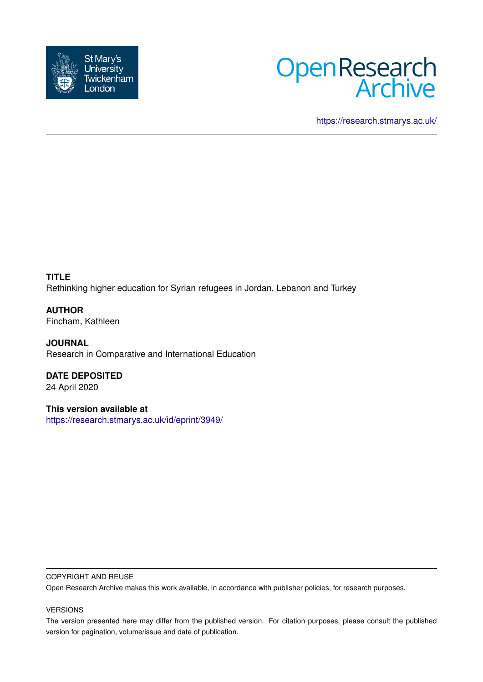



<https://research.stmarys.ac.uk/>

**TITLE** Rethinking higher education for Syrian refugees in Jordan, Lebanon and Turkey

**AUTHOR** Fincham, Kathleen

**JOURNAL** Research in Comparative and International Education

**DATE DEPOSITED** 24 April 2020

**This version available at** <https://research.stmarys.ac.uk/id/eprint/3949/>

#### COPYRIGHT AND REUSE

Open Research Archive makes this work available, in accordance with publisher policies, for research purposes.

#### VERSIONS

The version presented here may differ from the published version. For citation purposes, please consult the published version for pagination, volume/issue and date of publication.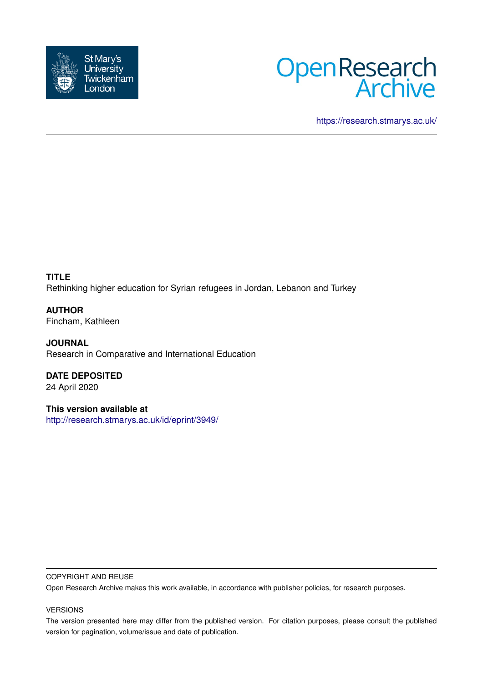



<https://research.stmarys.ac.uk/>

**TITLE** Rethinking higher education for Syrian refugees in Jordan, Lebanon and Turkey

**AUTHOR** Fincham, Kathleen

**JOURNAL** Research in Comparative and International Education

**DATE DEPOSITED** 24 April 2020

**This version available at** <http://research.stmarys.ac.uk/id/eprint/3949/>

#### COPYRIGHT AND REUSE

Open Research Archive makes this work available, in accordance with publisher policies, for research purposes.

#### VERSIONS

The version presented here may differ from the published version. For citation purposes, please consult the published version for pagination, volume/issue and date of publication.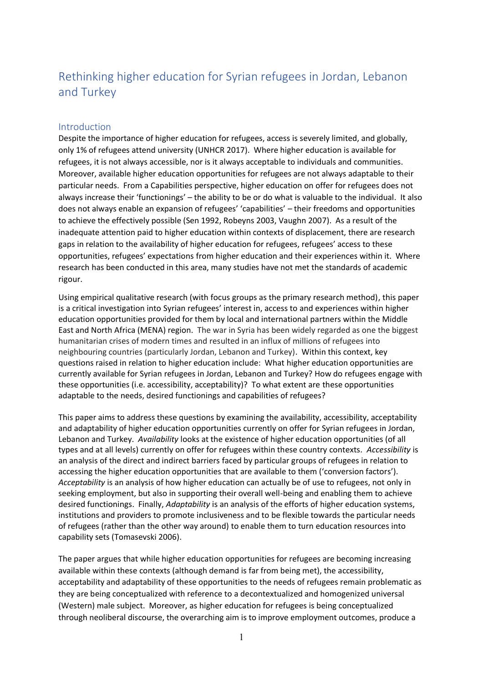# Rethinking higher education for Syrian refugees in Jordan, Lebanon and Turkey

# Introduction

Despite the importance of higher education for refugees, access is severely limited, and globally, only 1% of refugees attend university (UNHCR 2017). Where higher education is available for refugees, it is not always accessible, nor is it always acceptable to individuals and communities. Moreover, available higher education opportunities for refugees are not always adaptable to their particular needs. From a Capabilities perspective, higher education on offer for refugees does not always increase their 'functionings' – the ability to be or do what is valuable to the individual. It also does not always enable an expansion of refugees' 'capabilities' – their freedoms and opportunities to achieve the effectively possible (Sen 1992, Robeyns 2003, Vaughn 2007). As a result of the inadequate attention paid to higher education within contexts of displacement, there are research gaps in relation to the availability of higher education for refugees, refugees' access to these opportunities, refugees' expectations from higher education and their experiences within it. Where research has been conducted in this area, many studies have not met the standards of academic rigour.

Using empirical qualitative research (with focus groups as the primary research method), this paper is a critical investigation into Syrian refugees' interest in, access to and experiences within higher education opportunities provided for them by local and international partners within the Middle East and North Africa (MENA) region. The war in Syria has been widely regarded as one the biggest humanitarian crises of modern times and resulted in an influx of millions of refugees into neighbouring countries (particularly Jordan, Lebanon and Turkey). Within this context, key questions raised in relation to higher education include: What higher education opportunities are currently available for Syrian refugees in Jordan, Lebanon and Turkey? How do refugees engage with these opportunities (i.e. accessibility, acceptability)? To what extent are these opportunities adaptable to the needs, desired functionings and capabilities of refugees?

This paper aims to address these questions by examining the availability, accessibility, acceptability and adaptability of higher education opportunities currently on offer for Syrian refugees in Jordan, Lebanon and Turkey. *Availability* looks at the existence of higher education opportunities (of all types and at all levels) currently on offer for refugees within these country contexts. *Accessibility* is an analysis of the direct and indirect barriers faced by particular groups of refugees in relation to accessing the higher education opportunities that are available to them ('conversion factors'). *Acceptability* is an analysis of how higher education can actually be of use to refugees, not only in seeking employment, but also in supporting their overall well-being and enabling them to achieve desired functionings. Finally, *Adaptability* is an analysis of the efforts of higher education systems, institutions and providers to promote inclusiveness and to be flexible towards the particular needs of refugees (rather than the other way around) to enable them to turn education resources into capability sets (Tomasevski 2006).

The paper argues that while higher education opportunities for refugees are becoming increasing available within these contexts (although demand is far from being met), the accessibility, acceptability and adaptability of these opportunities to the needs of refugees remain problematic as they are being conceptualized with reference to a decontextualized and homogenized universal (Western) male subject. Moreover, as higher education for refugees is being conceptualized through neoliberal discourse, the overarching aim is to improve employment outcomes, produce a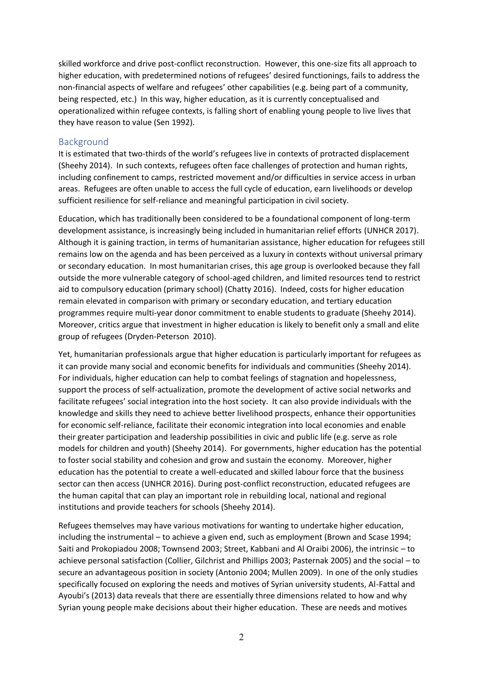skilled workforce and drive post-conflict reconstruction. However, this one-size fits all approach to higher education, with predetermined notions of refugees' desired functionings, fails to address the non-financial aspects of welfare and refugees' other capabilities (e.g. being part of a community, being respected, etc.) In this way, higher education, as it is currently conceptualised and operationalized within refugee contexts, is falling short of enabling young people to live lives that they have reason to value (Sen 1992).

#### **Background**

It is estimated that two-thirds of the world's refugees live in contexts of protracted displacement (Sheehy 2014). In such contexts, refugees often face challenges of protection and human rights, including confinement to camps, restricted movement and/or difficulties in service access in urban areas. Refugees are often unable to access the full cycle of education, earn livelihoods or develop sufficient resilience for self-reliance and meaningful participation in civil society.

Education, which has traditionally been considered to be a foundational component of long-term development assistance, is increasingly being included in humanitarian relief efforts (UNHCR 2017). Although it is gaining traction, in terms of humanitarian assistance, higher education for refugees still remains low on the agenda and has been perceived as a luxury in contexts without universal primary or secondary education. In most humanitarian crises, this age group is overlooked because they fall outside the more vulnerable category of school-aged children, and limited resources tend to restrict aid to compulsory education (primary school) (Chatty 2016). Indeed, costs for higher education remain elevated in comparison with primary or secondary education, and tertiary education programmes require multi-year donor commitment to enable students to graduate (Sheehy 2014). Moreover, critics argue that investment in higher education is likely to benefit only a small and elite group of refugees (Dryden-Peterson 2010).

Yet, humanitarian professionals argue that higher education is particularly important for refugees as it can provide many social and economic benefits for individuals and communities (Sheehy 2014). For individuals, higher education can help to combat feelings of stagnation and hopelessness, support the process of self-actualization, promote the development of active social networks and facilitate refugees' social integration into the host society. It can also provide individuals with the knowledge and skills they need to achieve better livelihood prospects, enhance their opportunities for economic self-reliance, facilitate their economic integration into local economies and enable their greater participation and leadership possibilities in civic and public life (e.g. serve as role models for children and youth) (Sheehy 2014). For governments, higher education has the potential to foster social stability and cohesion and grow and sustain the economy. Moreover, higher education has the potential to create a well-educated and skilled labour force that the business sector can then access (UNHCR 2016). During post-conflict reconstruction, educated refugees are the human capital that can play an important role in rebuilding local, national and regional institutions and provide teachers for schools (Sheehy 2014).

Refugees themselves may have various motivations for wanting to undertake higher education, including the instrumental – to achieve a given end, such as employment (Brown and Scase 1994; Saiti and Prokopiadou 2008; Townsend 2003; Street, Kabbani and Al Oraibi 2006), the intrinsic – to achieve personal satisfaction (Collier, Gilchrist and Phillips 2003; Pasternak 2005) and the social – to secure an advantageous position in society (Antonio 2004; Mullen 2009). In one of the only studies specifically focused on exploring the needs and motives of Syrian university students, Al-Fattal and Ayoubi's (2013) data reveals that there are essentially three dimensions related to how and why Syrian young people make decisions about their higher education. These are needs and motives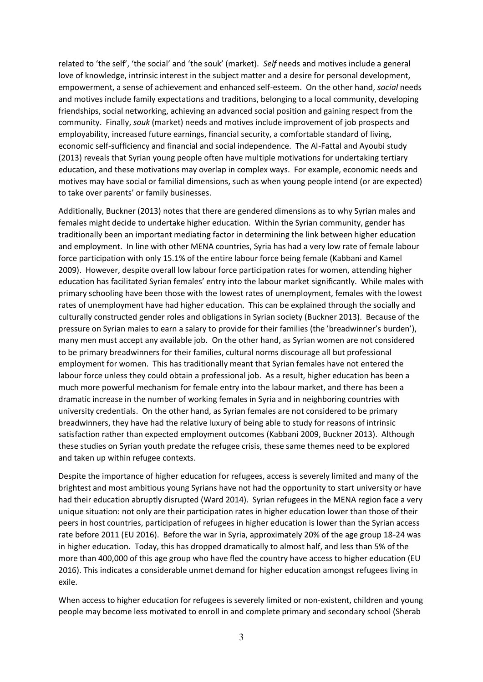related to 'the self', 'the social' and 'the souk' (market). *Self* needs and motives include a general love of knowledge, intrinsic interest in the subject matter and a desire for personal development, empowerment, a sense of achievement and enhanced self-esteem. On the other hand, *social* needs and motives include family expectations and traditions, belonging to a local community, developing friendships, social networking, achieving an advanced social position and gaining respect from the community. Finally, *souk* (market) needs and motives include improvement of job prospects and employability, increased future earnings, financial security, a comfortable standard of living, economic self-sufficiency and financial and social independence. The Al-Fattal and Ayoubi study (2013) reveals that Syrian young people often have multiple motivations for undertaking tertiary education, and these motivations may overlap in complex ways. For example, economic needs and motives may have social or familial dimensions, such as when young people intend (or are expected) to take over parents' or family businesses.

Additionally, Buckner (2013) notes that there are gendered dimensions as to why Syrian males and females might decide to undertake higher education. Within the Syrian community, gender has traditionally been an important mediating factor in determining the link between higher education and employment. In line with other MENA countries, Syria has had a very low rate of female labour force participation with only 15.1% of the entire labour force being female (Kabbani and Kamel 2009). However, despite overall low labour force participation rates for women, attending higher education has facilitated Syrian females' entry into the labour market significantly. While males with primary schooling have been those with the lowest rates of unemployment, females with the lowest rates of unemployment have had higher education. This can be explained through the socially and culturally constructed gender roles and obligations in Syrian society (Buckner 2013). Because of the pressure on Syrian males to earn a salary to provide for their families (the 'breadwinner's burden'), many men must accept any available job. On the other hand, as Syrian women are not considered to be primary breadwinners for their families, cultural norms discourage all but professional employment for women. This has traditionally meant that Syrian females have not entered the labour force unless they could obtain a professional job. As a result, higher education has been a much more powerful mechanism for female entry into the labour market, and there has been a dramatic increase in the number of working females in Syria and in neighboring countries with university credentials. On the other hand, as Syrian females are not considered to be primary breadwinners, they have had the relative luxury of being able to study for reasons of intrinsic satisfaction rather than expected employment outcomes (Kabbani 2009, Buckner 2013). Although these studies on Syrian youth predate the refugee crisis, these same themes need to be explored and taken up within refugee contexts.

Despite the importance of higher education for refugees, access is severely limited and many of the brightest and most ambitious young Syrians have not had the opportunity to start university or have had their education abruptly disrupted (Ward 2014). Syrian refugees in the MENA region face a very unique situation: not only are their participation rates in higher education lower than those of their peers in host countries, participation of refugees in higher education is lower than the Syrian access rate before 2011 (EU 2016). Before the war in Syria, approximately 20% of the age group 18-24 was in higher education. Today, this has dropped dramatically to almost half, and less than 5% of the more than 400,000 of this age group who have fled the country have access to higher education (EU 2016). This indicates a considerable unmet demand for higher education amongst refugees living in exile.

When access to higher education for refugees is severely limited or non-existent, children and young people may become less motivated to enroll in and complete primary and secondary school (Sherab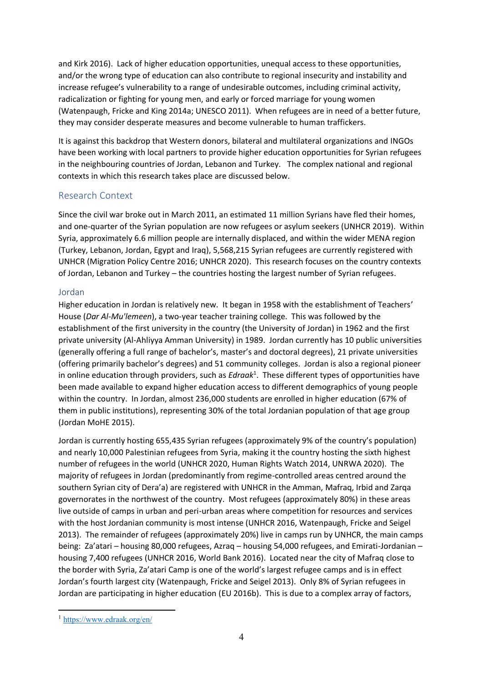and Kirk 2016). Lack of higher education opportunities, unequal access to these opportunities, and/or the wrong type of education can also contribute to regional insecurity and instability and increase refugee's vulnerability to a range of undesirable outcomes, including criminal activity, radicalization or fighting for young men, and early or forced marriage for young women (Watenpaugh, Fricke and King 2014a; UNESCO 2011). When refugees are in need of a better future, they may consider desperate measures and become vulnerable to human traffickers.

It is against this backdrop that Western donors, bilateral and multilateral organizations and INGOs have been working with local partners to provide higher education opportunities for Syrian refugees in the neighbouring countries of Jordan, Lebanon and Turkey. The complex national and regional contexts in which this research takes place are discussed below.

# Research Context

Since the civil war broke out in March 2011, an estimated 11 million Syrians have fled their homes, and one-quarter of the Syrian population are now refugees or asylum seekers (UNHCR 2019). Within Syria, approximately 6.6 million people are internally displaced, and within the wider MENA region (Turkey, Lebanon, Jordan, Egypt and Iraq), 5,568,215 Syrian refugees are currently registered with UNHCR (Migration Policy Centre 2016; UNHCR 2020). This research focuses on the country contexts of Jordan, Lebanon and Turkey – the countries hosting the largest number of Syrian refugees.

# Jordan

Higher education in Jordan is relatively new. It began in 1958 with the establishment of Teachers' House (*Dar Al-Mu'lemeen*), a two-year teacher training college. This was followed by the establishment of the first university in the country (the University of Jordan) in 1962 and the first private university (Al-Ahliyya Amman University) in 1989. Jordan currently has 10 public universities (generally offering a full range of bachelor's, master's and doctoral degrees), 21 private universities (offering primarily bachelor's degrees) and 51 community colleges. Jordan is also a regional pioneer in online education through providers, such as *Edraak*<sup>1</sup> . These different types of opportunities have been made available to expand higher education access to different demographics of young people within the country. In Jordan, almost 236,000 students are enrolled in higher education (67% of them in public institutions), representing 30% of the total Jordanian population of that age group (Jordan MoHE 2015).

Jordan is currently hosting 655,435 Syrian refugees (approximately 9% of the country's population) and nearly 10,000 Palestinian refugees from Syria, making it the country hosting the sixth highest number of refugees in the world (UNHCR 2020, Human Rights Watch 2014, UNRWA 2020). The majority of refugees in Jordan (predominantly from regime-controlled areas centred around the southern Syrian city of Dera'a) are registered with UNHCR in the Amman, Mafraq, Irbid and Zarqa governorates in the northwest of the country. Most refugees (approximately 80%) in these areas live outside of camps in urban and peri-urban areas where competition for resources and services with the host Jordanian community is most intense (UNHCR 2016, Watenpaugh, Fricke and Seigel 2013). The remainder of refugees (approximately 20%) live in camps run by UNHCR, the main camps being: Za'atari – housing 80,000 refugees, Azraq – housing 54,000 refugees, and Emirati-Jordanian – housing 7,400 refugees (UNHCR 2016, World Bank 2016). Located near the city of Mafraq close to the border with Syria, Za'atari Camp is one of the world's largest refugee camps and is in effect Jordan's fourth largest city (Watenpaugh, Fricke and Seigel 2013). Only 8% of Syrian refugees in Jordan are participating in higher education (EU 2016b). This is due to a complex array of factors,

<sup>1</sup> <https://www.edraak.org/en/>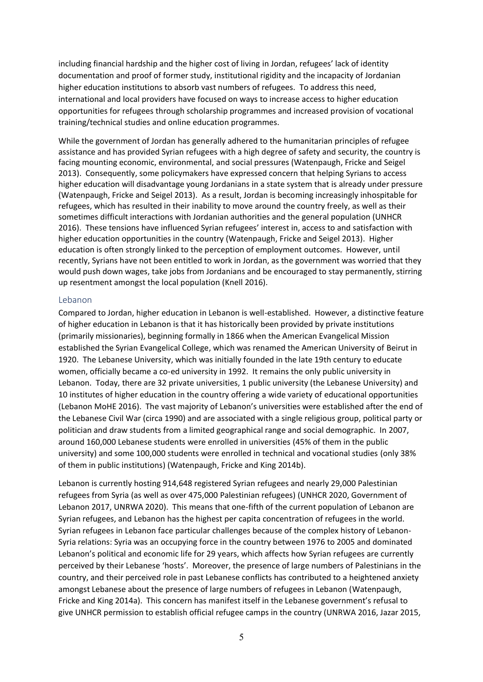including financial hardship and the higher cost of living in Jordan, refugees' lack of identity documentation and proof of former study, institutional rigidity and the incapacity of Jordanian higher education institutions to absorb vast numbers of refugees. To address this need, international and local providers have focused on ways to increase access to higher education opportunities for refugees through scholarship programmes and increased provision of vocational training/technical studies and online education programmes.

While the government of Jordan has generally adhered to the humanitarian principles of refugee assistance and has provided Syrian refugees with a high degree of safety and security, the country is facing mounting economic, environmental, and social pressures (Watenpaugh, Fricke and Seigel 2013). Consequently, some policymakers have expressed concern that helping Syrians to access higher education will disadvantage young Jordanians in a state system that is already under pressure (Watenpaugh, Fricke and Seigel 2013). As a result, Jordan is becoming increasingly inhospitable for refugees, which has resulted in their inability to move around the country freely, as well as their sometimes difficult interactions with Jordanian authorities and the general population (UNHCR 2016). These tensions have influenced Syrian refugees' interest in, access to and satisfaction with higher education opportunities in the country (Watenpaugh, Fricke and Seigel 2013). Higher education is often strongly linked to the perception of employment outcomes. However, until recently, Syrians have not been entitled to work in Jordan, as the government was worried that they would push down wages, take jobs from Jordanians and be encouraged to stay permanently, stirring up resentment amongst the local population (Knell 2016).

#### Lebanon

Compared to Jordan, higher education in Lebanon is well-established. However, a distinctive feature of higher education in Lebanon is that it has historically been provided by private institutions (primarily missionaries), beginning formally in 1866 when the American Evangelical Mission established the Syrian Evangelical College, which was renamed the American University of Beirut in 1920. The Lebanese University, which was initially founded in the late 19th century to educate women, officially became a co-ed university in 1992. It remains the only public university in Lebanon. Today, there are 32 private universities, 1 public university (the Lebanese University) and 10 institutes of higher education in the country offering a wide variety of educational opportunities (Lebanon MoHE 2016). The vast majority of Lebanon's universities were established after the end of the Lebanese Civil War (circa 1990) and are associated with a single religious group, political party or politician and draw students from a limited geographical range and social demographic. In 2007, around 160,000 Lebanese students were enrolled in universities (45% of them in the public university) and some 100,000 students were enrolled in technical and vocational studies (only 38% of them in public institutions) (Watenpaugh, Fricke and King 2014b).

Lebanon is currently hosting 914,648 registered Syrian refugees and nearly 29,000 Palestinian refugees from Syria (as well as over 475,000 Palestinian refugees) (UNHCR 2020, Government of Lebanon 2017, UNRWA 2020). This means that one-fifth of the current population of Lebanon are Syrian refugees, and Lebanon has the highest per capita concentration of refugees in the world. Syrian refugees in Lebanon face particular challenges because of the complex history of Lebanon-Syria relations: Syria was an occupying force in the country between 1976 to 2005 and dominated Lebanon's political and economic life for 29 years, which affects how Syrian refugees are currently perceived by their Lebanese 'hosts'. Moreover, the presence of large numbers of Palestinians in the country, and their perceived role in past Lebanese conflicts has contributed to a heightened anxiety amongst Lebanese about the presence of large numbers of refugees in Lebanon (Watenpaugh, Fricke and King 2014a). This concern has manifest itself in the Lebanese government's refusal to give UNHCR permission to establish official refugee camps in the country (UNRWA 2016, Jazar 2015,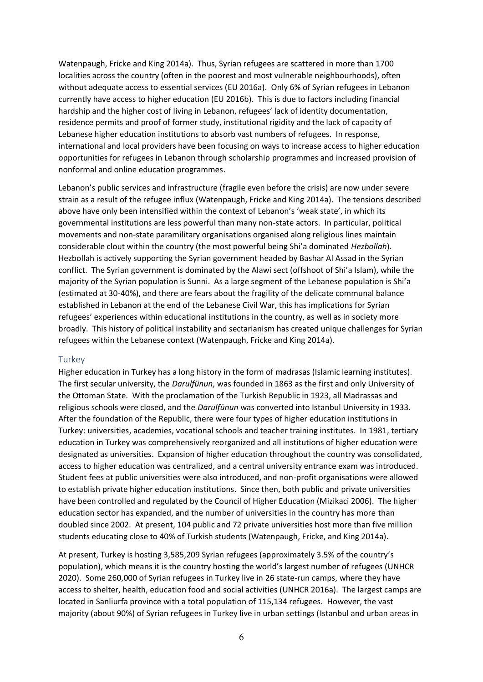Watenpaugh, Fricke and King 2014a). Thus, Syrian refugees are scattered in more than 1700 localities across the country (often in the poorest and most vulnerable neighbourhoods), often without adequate access to essential services (EU 2016a). Only 6% of Syrian refugees in Lebanon currently have access to higher education (EU 2016b). This is due to factors including financial hardship and the higher cost of living in Lebanon, refugees' lack of identity documentation, residence permits and proof of former study, institutional rigidity and the lack of capacity of Lebanese higher education institutions to absorb vast numbers of refugees. In response, international and local providers have been focusing on ways to increase access to higher education opportunities for refugees in Lebanon through scholarship programmes and increased provision of nonformal and online education programmes.

Lebanon's public services and infrastructure (fragile even before the crisis) are now under severe strain as a result of the refugee influx (Watenpaugh, Fricke and King 2014a). The tensions described above have only been intensified within the context of Lebanon's 'weak state', in which its governmental institutions are less powerful than many non-state actors. In particular, political movements and non-state paramilitary organisations organised along religious lines maintain considerable clout within the country (the most powerful being Shi'a dominated *Hezbollah*). Hezbollah is actively supporting the Syrian government headed by Bashar Al Assad in the Syrian conflict. The Syrian government is dominated by the Alawi sect (offshoot of Shi'a Islam), while the majority of the Syrian population is Sunni. As a large segment of the Lebanese population is Shi'a (estimated at 30-40%), and there are fears about the fragility of the delicate communal balance established in Lebanon at the end of the Lebanese Civil War, this has implications for Syrian refugees' experiences within educational institutions in the country, as well as in society more broadly. This history of political instability and sectarianism has created unique challenges for Syrian refugees within the Lebanese context (Watenpaugh, Fricke and King 2014a).

#### **Turkey**

Higher education in Turkey has a long history in the form of madrasas (Islamic learning institutes). The first secular university, the *Darulfünun*, was founded in 1863 as the first and only University of the Ottoman State. With the proclamation of the Turkish Republic in 1923, all Madrassas and religious schools were closed, and the *Darulfünun* was converted into Istanbul University in 1933. After the foundation of the Republic, there were four types of higher education institutions in Turkey: universities, academies, vocational schools and teacher training institutes. In 1981, tertiary education in Turkey was comprehensively reorganized and all institutions of higher education were designated as universities. Expansion of higher education throughout the country was consolidated, access to higher education was centralized, and a central university entrance exam was introduced. Student fees at public universities were also introduced, and non-profit organisations were allowed to establish private higher education institutions. Since then, both public and private universities have been controlled and regulated by the Council of Higher Education (Mizikaci 2006). The higher education sector has expanded, and the number of universities in the country has more than doubled since 2002. At present, 104 public and 72 private universities host more than five million students educating close to 40% of Turkish students (Watenpaugh, Fricke, and King 2014a).

At present, Turkey is hosting 3,585,209 Syrian refugees (approximately 3.5% of the country's population), which means it is the country hosting the world's largest number of refugees (UNHCR 2020). Some 260,000 of Syrian refugees in Turkey live in 26 state-run camps, where they have access to shelter, health, education food and social activities (UNHCR 2016a). The largest camps are located in Sanliurfa province with a total population of 115,134 refugees. However, the vast majority (about 90%) of Syrian refugees in Turkey live in urban settings (Istanbul and urban areas in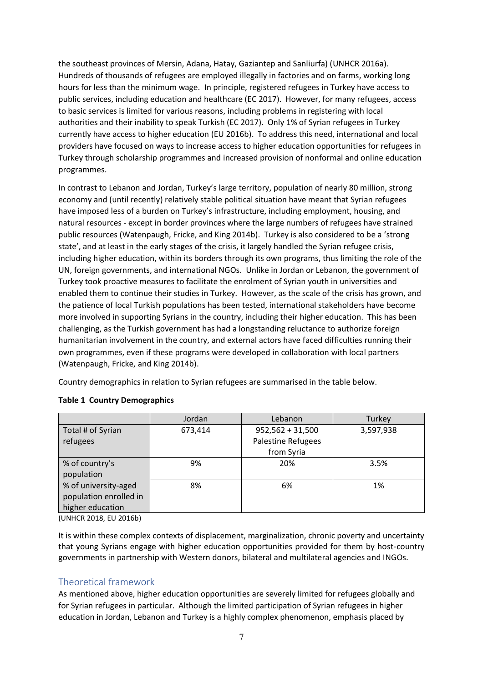the southeast provinces of Mersin, Adana, Hatay, Gaziantep and Sanliurfa) (UNHCR 2016a). Hundreds of thousands of refugees are employed illegally in factories and on farms, working long hours for less than the minimum wage. In principle, registered refugees in Turkey have access to public services, including education and healthcare (EC 2017). However, for many refugees, access to basic services is limited for various reasons, including problems in registering with local authorities and their inability to speak Turkish (EC 2017). Only 1% of Syrian refugees in Turkey currently have access to higher education (EU 2016b). To address this need, international and local providers have focused on ways to increase access to higher education opportunities for refugees in Turkey through scholarship programmes and increased provision of nonformal and online education programmes.

In contrast to Lebanon and Jordan, Turkey's large territory, population of nearly 80 million, strong economy and (until recently) relatively stable political situation have meant that Syrian refugees have imposed less of a burden on Turkey's infrastructure, including employment, housing, and natural resources - except in border provinces where the large numbers of refugees have strained public resources (Watenpaugh, Fricke, and King 2014b). Turkey is also considered to be a 'strong state', and at least in the early stages of the crisis, it largely handled the Syrian refugee crisis, including higher education, within its borders through its own programs, thus limiting the role of the UN, foreign governments, and international NGOs. Unlike in Jordan or Lebanon, the government of Turkey took proactive measures to facilitate the enrolment of Syrian youth in universities and enabled them to continue their studies in Turkey. However, as the scale of the crisis has grown, and the patience of local Turkish populations has been tested, international stakeholders have become more involved in supporting Syrians in the country, including their higher education. This has been challenging, as the Turkish government has had a longstanding reluctance to authorize foreign humanitarian involvement in the country, and external actors have faced difficulties running their own programmes, even if these programs were developed in collaboration with local partners (Watenpaugh, Fricke, and King 2014b).

Country demographics in relation to Syrian refugees are summarised in the table below.

|                        | Jordan  | Lebanon            | Turkey    |
|------------------------|---------|--------------------|-----------|
| Total # of Syrian      | 673,414 | $952,562 + 31,500$ | 3,597,938 |
| refugees               |         | Palestine Refugees |           |
|                        |         | from Syria         |           |
| % of country's         | 9%      | 20%                | 3.5%      |
| population             |         |                    |           |
| % of university-aged   | 8%      | 6%                 | 1%        |
| population enrolled in |         |                    |           |
| higher education       |         |                    |           |

### **Table 1 Country Demographics**

(UNHCR 2018, EU 2016b)

It is within these complex contexts of displacement, marginalization, chronic poverty and uncertainty that young Syrians engage with higher education opportunities provided for them by host-country governments in partnership with Western donors, bilateral and multilateral agencies and INGOs.

# Theoretical framework

As mentioned above, higher education opportunities are severely limited for refugees globally and for Syrian refugees in particular. Although the limited participation of Syrian refugees in higher education in Jordan, Lebanon and Turkey is a highly complex phenomenon, emphasis placed by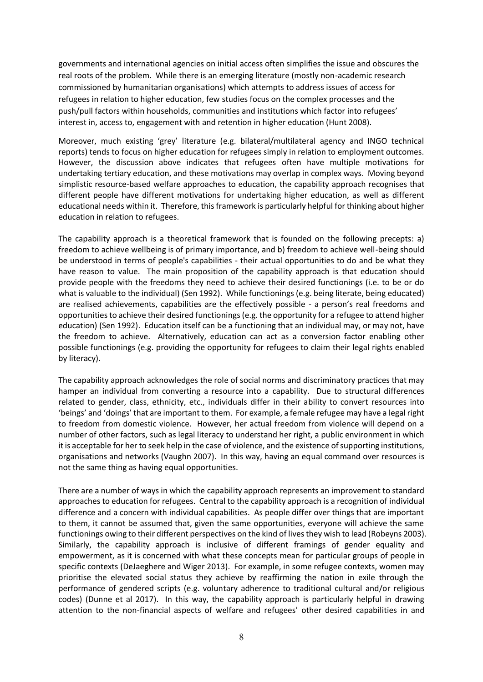governments and international agencies on initial access often simplifies the issue and obscures the real roots of the problem. While there is an emerging literature (mostly non-academic research commissioned by humanitarian organisations) which attempts to address issues of access for refugees in relation to higher education, few studies focus on the complex processes and the push/pull factors within households, communities and institutions which factor into refugees' interest in, access to, engagement with and retention in higher education (Hunt 2008).

Moreover, much existing 'grey' literature (e.g. bilateral/multilateral agency and INGO technical reports) tends to focus on higher education for refugees simply in relation to employment outcomes. However, the discussion above indicates that refugees often have multiple motivations for undertaking tertiary education, and these motivations may overlap in complex ways. Moving beyond simplistic resource-based welfare approaches to education, the capability approach recognises that different people have different motivations for undertaking higher education, as well as different educational needs within it. Therefore, this framework is particularly helpful for thinking about higher education in relation to refugees.

The capability approach is a theoretical framework that is founded on the following precepts: a) freedom to achieve wellbeing is of primary importance, and b) freedom to achieve well-being should be understood in terms of people's capabilities - their actual opportunities to do and be what they have reason to value. The main proposition of the capability approach is that education should provide people with the freedoms they need to achieve their desired functionings (i.e. to be or do what is valuable to the individual) (Sen 1992). While functionings (e.g. being literate, being educated) are realised achievements, capabilities are the effectively possible - a person's real freedoms and opportunities to achieve their desired functionings (e.g. the opportunity for a refugee to attend higher education) (Sen 1992). Education itself can be a functioning that an individual may, or may not, have the freedom to achieve. Alternatively, education can act as a conversion factor enabling other possible functionings (e.g. providing the opportunity for refugees to claim their legal rights enabled by literacy).

The capability approach acknowledges the role of social norms and discriminatory practices that may hamper an individual from converting a resource into a capability. Due to structural differences related to gender, class, ethnicity, etc., individuals differ in their ability to convert resources into 'beings' and 'doings' that are important to them. For example, a female refugee may have a legal right to freedom from domestic violence. However, her actual freedom from violence will depend on a number of other factors, such as legal literacy to understand her right, a public environment in which it is acceptable for her to seek help in the case of violence, and the existence of supporting institutions, organisations and networks (Vaughn 2007). In this way, having an equal command over resources is not the same thing as having equal opportunities.

There are a number of ways in which the capability approach represents an improvement to standard approaches to education for refugees. Central to the capability approach is a recognition of individual difference and a concern with individual capabilities. As people differ over things that are important to them, it cannot be assumed that, given the same opportunities, everyone will achieve the same functionings owing to their different perspectives on the kind of lives they wish to lead (Robeyns 2003). Similarly, the capability approach is inclusive of different framings of gender equality and empowerment, as it is concerned with what these concepts mean for particular groups of people in specific contexts (DeJaeghere and Wiger 2013). For example, in some refugee contexts, women may prioritise the elevated social status they achieve by reaffirming the nation in exile through the performance of gendered scripts (e.g. voluntary adherence to traditional cultural and/or religious codes) (Dunne et al 2017). In this way, the capability approach is particularly helpful in drawing attention to the non-financial aspects of welfare and refugees' other desired capabilities in and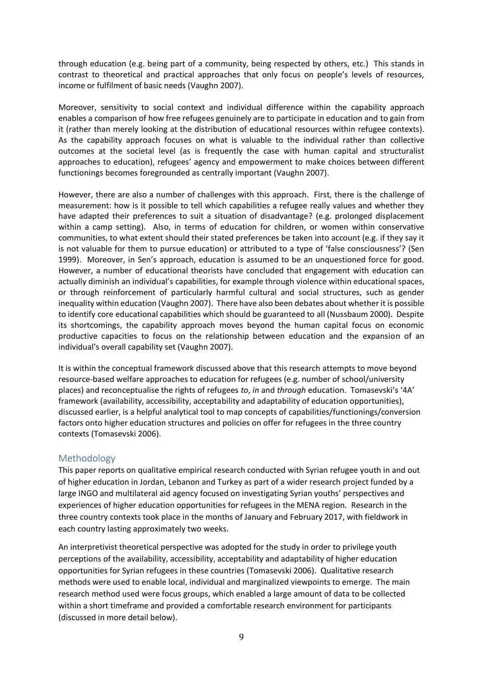through education (e.g. being part of a community, being respected by others, etc.) This stands in contrast to theoretical and practical approaches that only focus on people's levels of resources, income or fulfilment of basic needs (Vaughn 2007).

Moreover, sensitivity to social context and individual difference within the capability approach enables a comparison of how free refugees genuinely are to participate in education and to gain from it (rather than merely looking at the distribution of educational resources within refugee contexts). As the capability approach focuses on what is valuable to the individual rather than collective outcomes at the societal level (as is frequently the case with human capital and structuralist approaches to education), refugees' agency and empowerment to make choices between different functionings becomes foregrounded as centrally important (Vaughn 2007).

However, there are also a number of challenges with this approach. First, there is the challenge of measurement: how is it possible to tell which capabilities a refugee really values and whether they have adapted their preferences to suit a situation of disadvantage? (e.g. prolonged displacement within a camp setting). Also, in terms of education for children, or women within conservative communities, to what extent should their stated preferences be taken into account (e.g. if they say it is not valuable for them to pursue education) or attributed to a type of 'false consciousness'? (Sen 1999). Moreover, in Sen's approach, education is assumed to be an unquestioned force for good. However, a number of educational theorists have concluded that engagement with education can actually diminish an individual's capabilities, for example through violence within educational spaces, or through reinforcement of particularly harmful cultural and social structures, such as gender inequality within education (Vaughn 2007). There have also been debates about whether it is possible to identify core educational capabilities which should be guaranteed to all (Nussbaum 2000). Despite its shortcomings, the capability approach moves beyond the human capital focus on economic productive capacities to focus on the relationship between education and the expansion of an individual's overall capability set (Vaughn 2007).

It is within the conceptual framework discussed above that this research attempts to move beyond resource-based welfare approaches to education for refugees (e.g. number of school/university places) and reconceptualise the rights of refugees *to*, *in* and *through* education. Tomasevski's '4A' framework (availability, accessibility, acceptability and adaptability of education opportunities), discussed earlier, is a helpful analytical tool to map concepts of capabilities/functionings/conversion factors onto higher education structures and policies on offer for refugees in the three country contexts (Tomasevski 2006).

# Methodology

This paper reports on qualitative empirical research conducted with Syrian refugee youth in and out of higher education in Jordan, Lebanon and Turkey as part of a wider research project funded by a large INGO and multilateral aid agency focused on investigating Syrian youths' perspectives and experiences of higher education opportunities for refugees in the MENA region. Research in the three country contexts took place in the months of January and February 2017, with fieldwork in each country lasting approximately two weeks.

An interpretivist theoretical perspective was adopted for the study in order to privilege youth perceptions of the availability, accessibility, acceptability and adaptability of higher education opportunities for Syrian refugees in these countries (Tomasevski 2006). Qualitative research methods were used to enable local, individual and marginalized viewpoints to emerge. The main research method used were focus groups, which enabled a large amount of data to be collected within a short timeframe and provided a comfortable research environment for participants (discussed in more detail below).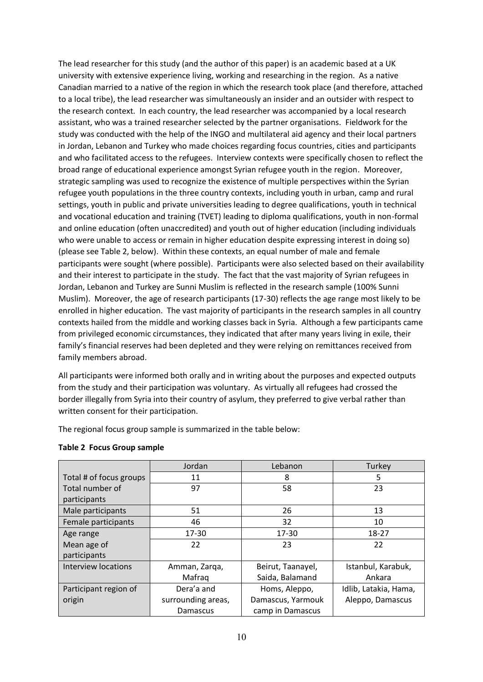The lead researcher for this study (and the author of this paper) is an academic based at a UK university with extensive experience living, working and researching in the region. As a native Canadian married to a native of the region in which the research took place (and therefore, attached to a local tribe), the lead researcher was simultaneously an insider and an outsider with respect to the research context. In each country, the lead researcher was accompanied by a local research assistant, who was a trained researcher selected by the partner organisations. Fieldwork for the study was conducted with the help of the INGO and multilateral aid agency and their local partners in Jordan, Lebanon and Turkey who made choices regarding focus countries, cities and participants and who facilitated access to the refugees. Interview contexts were specifically chosen to reflect the broad range of educational experience amongst Syrian refugee youth in the region. Moreover, strategic sampling was used to recognize the existence of multiple perspectives within the Syrian refugee youth populations in the three country contexts, including youth in urban, camp and rural settings, youth in public and private universities leading to degree qualifications, youth in technical and vocational education and training (TVET) leading to diploma qualifications, youth in non-formal and online education (often unaccredited) and youth out of higher education (including individuals who were unable to access or remain in higher education despite expressing interest in doing so) (please see Table 2, below). Within these contexts, an equal number of male and female participants were sought (where possible). Participants were also selected based on their availability and their interest to participate in the study. The fact that the vast majority of Syrian refugees in Jordan, Lebanon and Turkey are Sunni Muslim is reflected in the research sample (100% Sunni Muslim). Moreover, the age of research participants (17-30) reflects the age range most likely to be enrolled in higher education. The vast majority of participants in the research samples in all country contexts hailed from the middle and working classes back in Syria. Although a few participants came from privileged economic circumstances, they indicated that after many years living in exile, their family's financial reserves had been depleted and they were relying on remittances received from family members abroad.

All participants were informed both orally and in writing about the purposes and expected outputs from the study and their participation was voluntary. As virtually all refugees had crossed the border illegally from Syria into their country of asylum, they preferred to give verbal rather than written consent for their participation.

The regional focus group sample is summarized in the table below:

|                         | Jordan             | Lebanon           | Turkey                |
|-------------------------|--------------------|-------------------|-----------------------|
| Total # of focus groups | 11                 | 8                 | 5                     |
| Total number of         | 97                 | 58                | 23                    |
| participants            |                    |                   |                       |
| Male participants       | 51                 | 26                | 13                    |
| Female participants     | 46                 | 32                | 10                    |
| Age range               | 17-30              | 17-30             | 18-27                 |
| Mean age of             | 22                 | 23                | 22                    |
| participants            |                    |                   |                       |
| Interview locations     | Amman, Zarga,      | Beirut, Taanayel, | Istanbul, Karabuk,    |
|                         | Mafrag             | Saida, Balamand   | Ankara                |
| Participant region of   | Dera'a and         | Homs, Aleppo,     | Idlib, Latakia, Hama, |
| origin                  | surrounding areas, | Damascus, Yarmouk | Aleppo, Damascus      |
|                         | Damascus           | camp in Damascus  |                       |

#### **Table 2 Focus Group sample**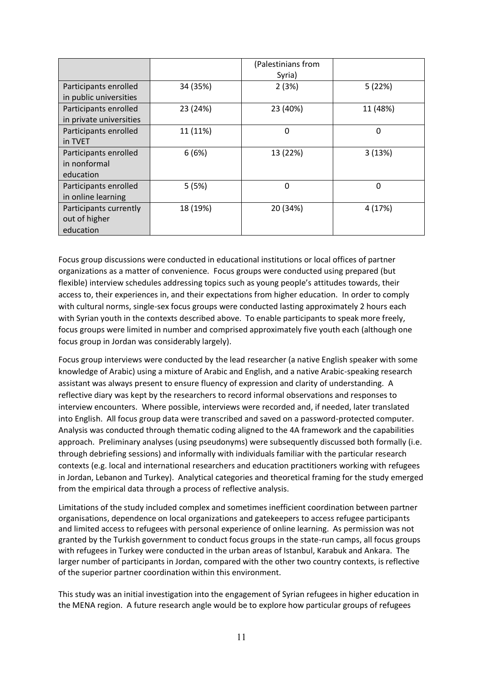|                         |          | (Palestinians from |          |
|-------------------------|----------|--------------------|----------|
|                         |          | Syria)             |          |
| Participants enrolled   | 34 (35%) | 2(3%)              | 5(22%)   |
| in public universities  |          |                    |          |
| Participants enrolled   | 23 (24%) | 23 (40%)           | 11 (48%) |
| in private universities |          |                    |          |
| Participants enrolled   | 11 (11%) | 0                  | 0        |
| in TVET                 |          |                    |          |
| Participants enrolled   | 6(6%)    | 13 (22%)           | 3(13%)   |
| in nonformal            |          |                    |          |
| education               |          |                    |          |
| Participants enrolled   | 5(5%)    | 0                  | $\Omega$ |
| in online learning      |          |                    |          |
| Participants currently  | 18 (19%) | 20 (34%)           | 4 (17%)  |
| out of higher           |          |                    |          |
| education               |          |                    |          |

Focus group discussions were conducted in educational institutions or local offices of partner organizations as a matter of convenience. Focus groups were conducted using prepared (but flexible) interview schedules addressing topics such as young people's attitudes towards, their access to, their experiences in, and their expectations from higher education. In order to comply with cultural norms, single-sex focus groups were conducted lasting approximately 2 hours each with Syrian youth in the contexts described above. To enable participants to speak more freely, focus groups were limited in number and comprised approximately five youth each (although one focus group in Jordan was considerably largely).

Focus group interviews were conducted by the lead researcher (a native English speaker with some knowledge of Arabic) using a mixture of Arabic and English, and a native Arabic-speaking research assistant was always present to ensure fluency of expression and clarity of understanding. A reflective diary was kept by the researchers to record informal observations and responses to interview encounters. Where possible, interviews were recorded and, if needed, later translated into English. All focus group data were transcribed and saved on a password-protected computer. Analysis was conducted through thematic coding aligned to the 4A framework and the capabilities approach. Preliminary analyses (using pseudonyms) were subsequently discussed both formally (i.e. through debriefing sessions) and informally with individuals familiar with the particular research contexts (e.g. local and international researchers and education practitioners working with refugees in Jordan, Lebanon and Turkey). Analytical categories and theoretical framing for the study emerged from the empirical data through a process of reflective analysis.

Limitations of the study included complex and sometimes inefficient coordination between partner organisations, dependence on local organizations and gatekeepers to access refugee participants and limited access to refugees with personal experience of online learning. As permission was not granted by the Turkish government to conduct focus groups in the state-run camps, all focus groups with refugees in Turkey were conducted in the urban areas of Istanbul, Karabuk and Ankara. The larger number of participants in Jordan, compared with the other two country contexts, is reflective of the superior partner coordination within this environment.

This study was an initial investigation into the engagement of Syrian refugees in higher education in the MENA region. A future research angle would be to explore how particular groups of refugees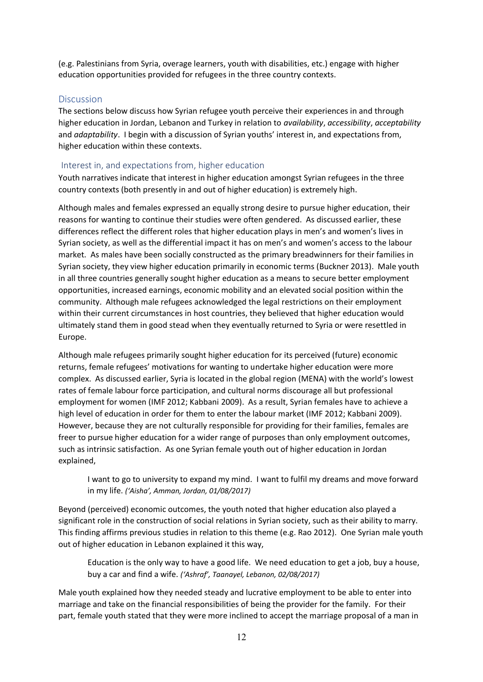(e.g. Palestinians from Syria, overage learners, youth with disabilities, etc.) engage with higher education opportunities provided for refugees in the three country contexts.

#### **Discussion**

The sections below discuss how Syrian refugee youth perceive their experiences in and through higher education in Jordan, Lebanon and Turkey in relation to *availability*, *accessibility*, *acceptability* and *adaptability*. I begin with a discussion of Syrian youths' interest in, and expectations from, higher education within these contexts.

#### Interest in, and expectations from, higher education

Youth narratives indicate that interest in higher education amongst Syrian refugees in the three country contexts (both presently in and out of higher education) is extremely high.

Although males and females expressed an equally strong desire to pursue higher education, their reasons for wanting to continue their studies were often gendered. As discussed earlier, these differences reflect the different roles that higher education plays in men's and women's lives in Syrian society, as well as the differential impact it has on men's and women's access to the labour market. As males have been socially constructed as the primary breadwinners for their families in Syrian society, they view higher education primarily in economic terms (Buckner 2013). Male youth in all three countries generally sought higher education as a means to secure better employment opportunities, increased earnings, economic mobility and an elevated social position within the community. Although male refugees acknowledged the legal restrictions on their employment within their current circumstances in host countries, they believed that higher education would ultimately stand them in good stead when they eventually returned to Syria or were resettled in Europe.

Although male refugees primarily sought higher education for its perceived (future) economic returns, female refugees' motivations for wanting to undertake higher education were more complex. As discussed earlier, Syria is located in the global region (MENA) with the world's lowest rates of female labour force participation, and cultural norms discourage all but professional employment for women (IMF 2012; Kabbani 2009). As a result, Syrian females have to achieve a high level of education in order for them to enter the labour market (IMF 2012; Kabbani 2009). However, because they are not culturally responsible for providing for their families, females are freer to pursue higher education for a wider range of purposes than only employment outcomes, such as intrinsic satisfaction. As one Syrian female youth out of higher education in Jordan explained,

I want to go to university to expand my mind. I want to fulfil my dreams and move forward in my life. *('Aisha', Amman, Jordan, 01/08/2017)*

Beyond (perceived) economic outcomes, the youth noted that higher education also played a significant role in the construction of social relations in Syrian society, such as their ability to marry. This finding affirms previous studies in relation to this theme (e.g. Rao 2012). One Syrian male youth out of higher education in Lebanon explained it this way,

Education is the only way to have a good life. We need education to get a job, buy a house, buy a car and find a wife. *('Ashraf', Taanayel, Lebanon, 02/08/2017)*

Male youth explained how they needed steady and lucrative employment to be able to enter into marriage and take on the financial responsibilities of being the provider for the family. For their part, female youth stated that they were more inclined to accept the marriage proposal of a man in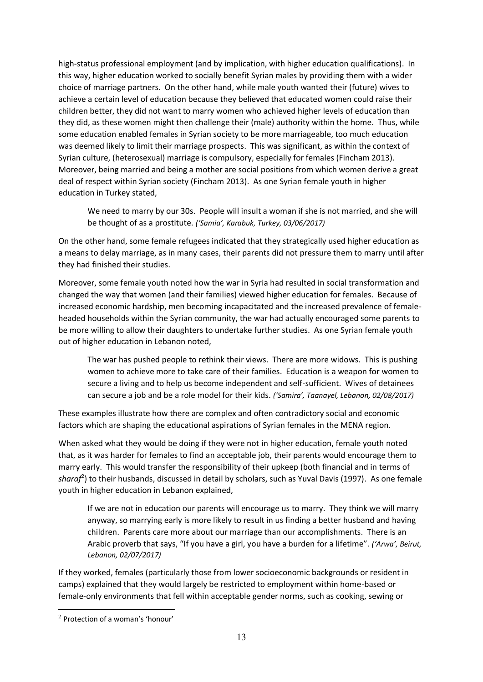high-status professional employment (and by implication, with higher education qualifications). In this way, higher education worked to socially benefit Syrian males by providing them with a wider choice of marriage partners. On the other hand, while male youth wanted their (future) wives to achieve a certain level of education because they believed that educated women could raise their children better, they did not want to marry women who achieved higher levels of education than they did, as these women might then challenge their (male) authority within the home. Thus, while some education enabled females in Syrian society to be more marriageable, too much education was deemed likely to limit their marriage prospects. This was significant, as within the context of Syrian culture, (heterosexual) marriage is compulsory, especially for females (Fincham 2013). Moreover, being married and being a mother are social positions from which women derive a great deal of respect within Syrian society (Fincham 2013). As one Syrian female youth in higher education in Turkey stated,

We need to marry by our 30s. People will insult a woman if she is not married, and she will be thought of as a prostitute. *('Samia', Karabuk, Turkey, 03/06/2017)*

On the other hand, some female refugees indicated that they strategically used higher education as a means to delay marriage, as in many cases, their parents did not pressure them to marry until after they had finished their studies.

Moreover, some female youth noted how the war in Syria had resulted in social transformation and changed the way that women (and their families) viewed higher education for females. Because of increased economic hardship, men becoming incapacitated and the increased prevalence of femaleheaded households within the Syrian community, the war had actually encouraged some parents to be more willing to allow their daughters to undertake further studies. As one Syrian female youth out of higher education in Lebanon noted,

The war has pushed people to rethink their views. There are more widows. This is pushing women to achieve more to take care of their families. Education is a weapon for women to secure a living and to help us become independent and self-sufficient. Wives of detainees can secure a job and be a role model for their kids. *('Samira', Taanayel, Lebanon, 02/08/2017)*

These examples illustrate how there are complex and often contradictory social and economic factors which are shaping the educational aspirations of Syrian females in the MENA region.

When asked what they would be doing if they were not in higher education, female youth noted that, as it was harder for females to find an acceptable job, their parents would encourage them to marry early. This would transfer the responsibility of their upkeep (both financial and in terms of *sharaf*<sup>2</sup> ) to their husbands, discussed in detail by scholars, such as Yuval Davis (1997). As one female youth in higher education in Lebanon explained,

If we are not in education our parents will encourage us to marry. They think we will marry anyway, so marrying early is more likely to result in us finding a better husband and having children. Parents care more about our marriage than our accomplishments. There is an Arabic proverb that says, "If you have a girl, you have a burden for a lifetime". *('Arwa', Beirut, Lebanon, 02/07/2017)*

If they worked, females (particularly those from lower socioeconomic backgrounds or resident in camps) explained that they would largely be restricted to employment within home-based or female-only environments that fell within acceptable gender norms, such as cooking, sewing or

<sup>2</sup> Protection of a woman's 'honour'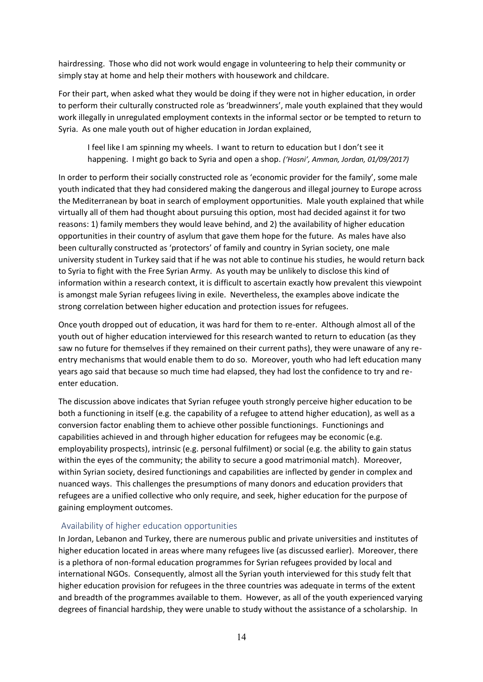hairdressing. Those who did not work would engage in volunteering to help their community or simply stay at home and help their mothers with housework and childcare.

For their part, when asked what they would be doing if they were not in higher education, in order to perform their culturally constructed role as 'breadwinners', male youth explained that they would work illegally in unregulated employment contexts in the informal sector or be tempted to return to Syria. As one male youth out of higher education in Jordan explained,

I feel like I am spinning my wheels. I want to return to education but I don't see it happening. I might go back to Syria and open a shop. *('Hosni', Amman, Jordan, 01/09/2017)*

In order to perform their socially constructed role as 'economic provider for the family', some male youth indicated that they had considered making the dangerous and illegal journey to Europe across the Mediterranean by boat in search of employment opportunities. Male youth explained that while virtually all of them had thought about pursuing this option, most had decided against it for two reasons: 1) family members they would leave behind, and 2) the availability of higher education opportunities in their country of asylum that gave them hope for the future. As males have also been culturally constructed as 'protectors' of family and country in Syrian society, one male university student in Turkey said that if he was not able to continue his studies, he would return back to Syria to fight with the Free Syrian Army. As youth may be unlikely to disclose this kind of information within a research context, it is difficult to ascertain exactly how prevalent this viewpoint is amongst male Syrian refugees living in exile. Nevertheless, the examples above indicate the strong correlation between higher education and protection issues for refugees.

Once youth dropped out of education, it was hard for them to re-enter. Although almost all of the youth out of higher education interviewed for this research wanted to return to education (as they saw no future for themselves if they remained on their current paths), they were unaware of any reentry mechanisms that would enable them to do so. Moreover, youth who had left education many years ago said that because so much time had elapsed, they had lost the confidence to try and reenter education.

The discussion above indicates that Syrian refugee youth strongly perceive higher education to be both a functioning in itself (e.g. the capability of a refugee to attend higher education), as well as a conversion factor enabling them to achieve other possible functionings. Functionings and capabilities achieved in and through higher education for refugees may be economic (e.g. employability prospects), intrinsic (e.g. personal fulfilment) or social (e.g. the ability to gain status within the eyes of the community; the ability to secure a good matrimonial match). Moreover, within Syrian society, desired functionings and capabilities are inflected by gender in complex and nuanced ways. This challenges the presumptions of many donors and education providers that refugees are a unified collective who only require, and seek, higher education for the purpose of gaining employment outcomes.

#### Availability of higher education opportunities

In Jordan, Lebanon and Turkey, there are numerous public and private universities and institutes of higher education located in areas where many refugees live (as discussed earlier). Moreover, there is a plethora of non-formal education programmes for Syrian refugees provided by local and international NGOs. Consequently, almost all the Syrian youth interviewed for this study felt that higher education provision for refugees in the three countries was adequate in terms of the extent and breadth of the programmes available to them. However, as all of the youth experienced varying degrees of financial hardship, they were unable to study without the assistance of a scholarship. In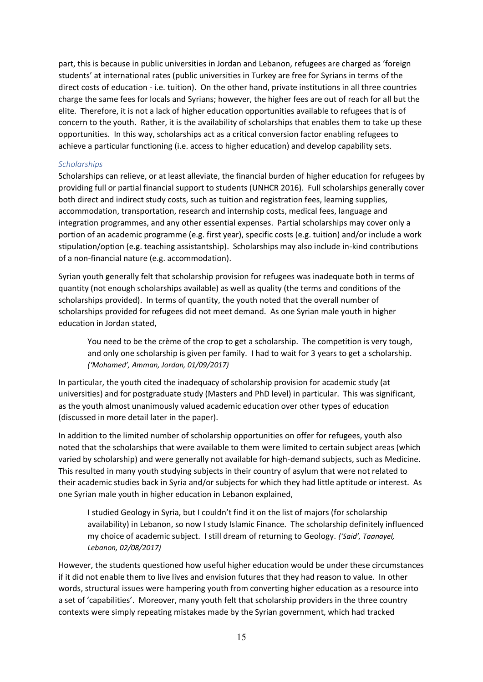part, this is because in public universities in Jordan and Lebanon, refugees are charged as 'foreign students' at international rates (public universities in Turkey are free for Syrians in terms of the direct costs of education - i.e. tuition). On the other hand, private institutions in all three countries charge the same fees for locals and Syrians; however, the higher fees are out of reach for all but the elite. Therefore, it is not a lack of higher education opportunities available to refugees that is of concern to the youth. Rather, it is the availability of scholarships that enables them to take up these opportunities. In this way, scholarships act as a critical conversion factor enabling refugees to achieve a particular functioning (i.e. access to higher education) and develop capability sets.

#### *Scholarships*

Scholarships can relieve, or at least alleviate, the financial burden of higher education for refugees by providing full or partial financial support to students (UNHCR 2016). Full scholarships generally cover both direct and indirect study costs, such as tuition and registration fees, learning supplies, accommodation, transportation, research and internship costs, medical fees, language and integration programmes, and any other essential expenses. Partial scholarships may cover only a portion of an academic programme (e.g. first year), specific costs (e.g. tuition) and/or include a work stipulation/option (e.g. teaching assistantship). Scholarships may also include in-kind contributions of a non-financial nature (e.g. accommodation).

Syrian youth generally felt that scholarship provision for refugees was inadequate both in terms of quantity (not enough scholarships available) as well as quality (the terms and conditions of the scholarships provided). In terms of quantity, the youth noted that the overall number of scholarships provided for refugees did not meet demand. As one Syrian male youth in higher education in Jordan stated,

You need to be the crème of the crop to get a scholarship. The competition is very tough, and only one scholarship is given per family. I had to wait for 3 years to get a scholarship. *('Mohamed', Amman, Jordan, 01/09/2017)*

In particular, the youth cited the inadequacy of scholarship provision for academic study (at universities) and for postgraduate study (Masters and PhD level) in particular. This was significant, as the youth almost unanimously valued academic education over other types of education (discussed in more detail later in the paper).

In addition to the limited number of scholarship opportunities on offer for refugees, youth also noted that the scholarships that were available to them were limited to certain subject areas (which varied by scholarship) and were generally not available for high-demand subjects, such as Medicine. This resulted in many youth studying subjects in their country of asylum that were not related to their academic studies back in Syria and/or subjects for which they had little aptitude or interest. As one Syrian male youth in higher education in Lebanon explained,

I studied Geology in Syria, but I couldn't find it on the list of majors (for scholarship availability) in Lebanon, so now I study Islamic Finance. The scholarship definitely influenced my choice of academic subject. I still dream of returning to Geology. *('Said', Taanayel, Lebanon, 02/08/2017)*

However, the students questioned how useful higher education would be under these circumstances if it did not enable them to live lives and envision futures that they had reason to value. In other words, structural issues were hampering youth from converting higher education as a resource into a set of 'capabilities'. Moreover, many youth felt that scholarship providers in the three country contexts were simply repeating mistakes made by the Syrian government, which had tracked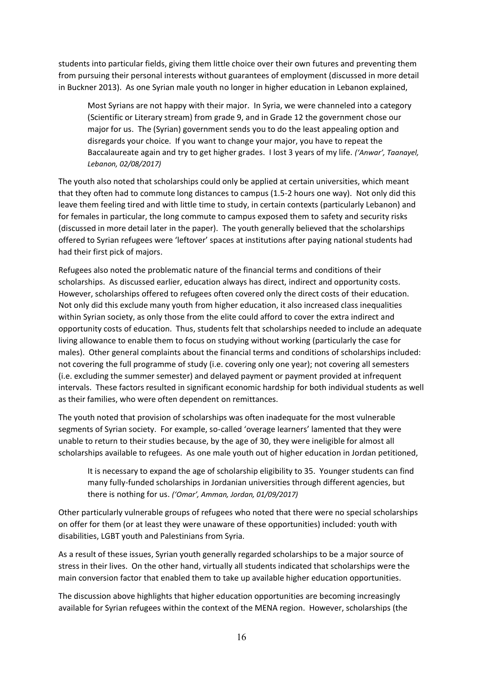students into particular fields, giving them little choice over their own futures and preventing them from pursuing their personal interests without guarantees of employment (discussed in more detail in Buckner 2013). As one Syrian male youth no longer in higher education in Lebanon explained,

Most Syrians are not happy with their major. In Syria, we were channeled into a category (Scientific or Literary stream) from grade 9, and in Grade 12 the government chose our major for us. The (Syrian) government sends you to do the least appealing option and disregards your choice. If you want to change your major, you have to repeat the Baccalaureate again and try to get higher grades. I lost 3 years of my life. *('Anwar', Taanayel, Lebanon, 02/08/2017)*

The youth also noted that scholarships could only be applied at certain universities, which meant that they often had to commute long distances to campus (1.5-2 hours one way). Not only did this leave them feeling tired and with little time to study, in certain contexts (particularly Lebanon) and for females in particular, the long commute to campus exposed them to safety and security risks (discussed in more detail later in the paper). The youth generally believed that the scholarships offered to Syrian refugees were 'leftover' spaces at institutions after paying national students had had their first pick of majors.

Refugees also noted the problematic nature of the financial terms and conditions of their scholarships. As discussed earlier, education always has direct, indirect and opportunity costs. However, scholarships offered to refugees often covered only the direct costs of their education. Not only did this exclude many youth from higher education, it also increased class inequalities within Syrian society, as only those from the elite could afford to cover the extra indirect and opportunity costs of education. Thus, students felt that scholarships needed to include an adequate living allowance to enable them to focus on studying without working (particularly the case for males). Other general complaints about the financial terms and conditions of scholarships included: not covering the full programme of study (i.e. covering only one year); not covering all semesters (i.e. excluding the summer semester) and delayed payment or payment provided at infrequent intervals. These factors resulted in significant economic hardship for both individual students as well as their families, who were often dependent on remittances.

The youth noted that provision of scholarships was often inadequate for the most vulnerable segments of Syrian society. For example, so-called 'overage learners' lamented that they were unable to return to their studies because, by the age of 30, they were ineligible for almost all scholarships available to refugees. As one male youth out of higher education in Jordan petitioned,

It is necessary to expand the age of scholarship eligibility to 35. Younger students can find many fully-funded scholarships in Jordanian universities through different agencies, but there is nothing for us. *('Omar', Amman, Jordan, 01/09/2017)*

Other particularly vulnerable groups of refugees who noted that there were no special scholarships on offer for them (or at least they were unaware of these opportunities) included: youth with disabilities, LGBT youth and Palestinians from Syria.

As a result of these issues, Syrian youth generally regarded scholarships to be a major source of stress in their lives. On the other hand, virtually all students indicated that scholarships were the main conversion factor that enabled them to take up available higher education opportunities.

The discussion above highlights that higher education opportunities are becoming increasingly available for Syrian refugees within the context of the MENA region. However, scholarships (the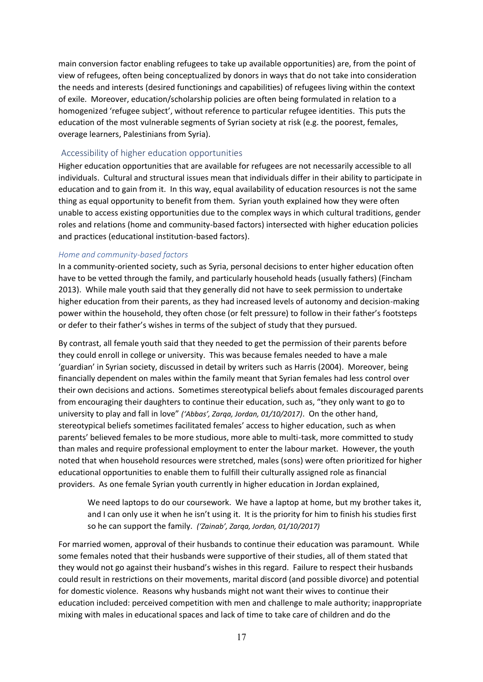main conversion factor enabling refugees to take up available opportunities) are, from the point of view of refugees, often being conceptualized by donors in ways that do not take into consideration the needs and interests (desired functionings and capabilities) of refugees living within the context of exile. Moreover, education/scholarship policies are often being formulated in relation to a homogenized 'refugee subject', without reference to particular refugee identities. This puts the education of the most vulnerable segments of Syrian society at risk (e.g. the poorest, females, overage learners, Palestinians from Syria).

### Accessibility of higher education opportunities

Higher education opportunities that are available for refugees are not necessarily accessible to all individuals. Cultural and structural issues mean that individuals differ in their ability to participate in education and to gain from it. In this way, equal availability of education resources is not the same thing as equal opportunity to benefit from them. Syrian youth explained how they were often unable to access existing opportunities due to the complex ways in which cultural traditions, gender roles and relations (home and community-based factors) intersected with higher education policies and practices (educational institution-based factors).

#### *Home and community-based factors*

In a community-oriented society, such as Syria, personal decisions to enter higher education often have to be vetted through the family, and particularly household heads (usually fathers) (Fincham 2013). While male youth said that they generally did not have to seek permission to undertake higher education from their parents, as they had increased levels of autonomy and decision-making power within the household, they often chose (or felt pressure) to follow in their father's footsteps or defer to their father's wishes in terms of the subject of study that they pursued.

By contrast, all female youth said that they needed to get the permission of their parents before they could enroll in college or university. This was because females needed to have a male 'guardian' in Syrian society, discussed in detail by writers such as Harris (2004). Moreover, being financially dependent on males within the family meant that Syrian females had less control over their own decisions and actions. Sometimes stereotypical beliefs about females discouraged parents from encouraging their daughters to continue their education, such as, "they only want to go to university to play and fall in love" *('Abbas', Zarqa, Jordan, 01/10/2017)*. On the other hand, stereotypical beliefs sometimes facilitated females' access to higher education, such as when parents' believed females to be more studious, more able to multi-task, more committed to study than males and require professional employment to enter the labour market. However, the youth noted that when household resources were stretched, males (sons) were often prioritized for higher educational opportunities to enable them to fulfill their culturally assigned role as financial providers. As one female Syrian youth currently in higher education in Jordan explained,

We need laptops to do our coursework. We have a laptop at home, but my brother takes it, and I can only use it when he isn't using it. It is the priority for him to finish his studies first so he can support the family. *('Zainab', Zarqa, Jordan, 01/10/2017)*

For married women, approval of their husbands to continue their education was paramount. While some females noted that their husbands were supportive of their studies, all of them stated that they would not go against their husband's wishes in this regard. Failure to respect their husbands could result in restrictions on their movements, marital discord (and possible divorce) and potential for domestic violence. Reasons why husbands might not want their wives to continue their education included: perceived competition with men and challenge to male authority; inappropriate mixing with males in educational spaces and lack of time to take care of children and do the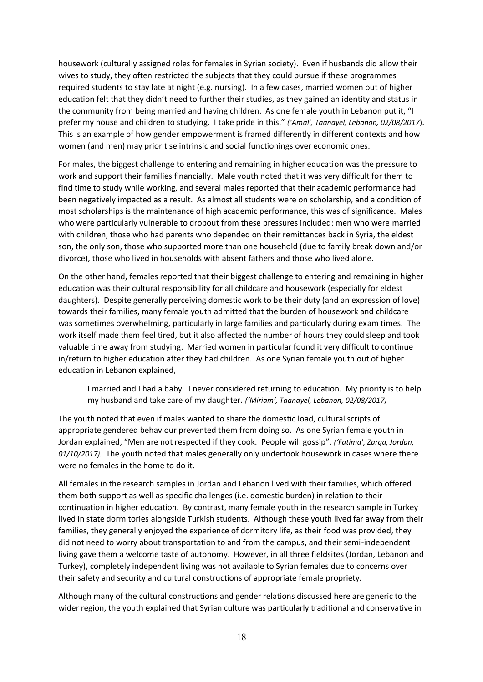housework (culturally assigned roles for females in Syrian society). Even if husbands did allow their wives to study, they often restricted the subjects that they could pursue if these programmes required students to stay late at night (e.g. nursing). In a few cases, married women out of higher education felt that they didn't need to further their studies, as they gained an identity and status in the community from being married and having children. As one female youth in Lebanon put it, "I prefer my house and children to studying. I take pride in this." *('Amal', Taanayel, Lebanon, 02/08/2017*). This is an example of how gender empowerment is framed differently in different contexts and how women (and men) may prioritise intrinsic and social functionings over economic ones.

For males, the biggest challenge to entering and remaining in higher education was the pressure to work and support their families financially. Male youth noted that it was very difficult for them to find time to study while working, and several males reported that their academic performance had been negatively impacted as a result. As almost all students were on scholarship, and a condition of most scholarships is the maintenance of high academic performance, this was of significance. Males who were particularly vulnerable to dropout from these pressures included: men who were married with children, those who had parents who depended on their remittances back in Syria, the eldest son, the only son, those who supported more than one household (due to family break down and/or divorce), those who lived in households with absent fathers and those who lived alone.

On the other hand, females reported that their biggest challenge to entering and remaining in higher education was their cultural responsibility for all childcare and housework (especially for eldest daughters). Despite generally perceiving domestic work to be their duty (and an expression of love) towards their families, many female youth admitted that the burden of housework and childcare was sometimes overwhelming, particularly in large families and particularly during exam times. The work itself made them feel tired, but it also affected the number of hours they could sleep and took valuable time away from studying. Married women in particular found it very difficult to continue in/return to higher education after they had children. As one Syrian female youth out of higher education in Lebanon explained,

I married and I had a baby. I never considered returning to education. My priority is to help my husband and take care of my daughter. *('Miriam', Taanayel, Lebanon, 02/08/2017)*

The youth noted that even if males wanted to share the domestic load, cultural scripts of appropriate gendered behaviour prevented them from doing so. As one Syrian female youth in Jordan explained, "Men are not respected if they cook. People will gossip". *('Fatima', Zarqa, Jordan, 01/10/2017).* The youth noted that males generally only undertook housework in cases where there were no females in the home to do it.

All females in the research samples in Jordan and Lebanon lived with their families, which offered them both support as well as specific challenges (i.e. domestic burden) in relation to their continuation in higher education. By contrast, many female youth in the research sample in Turkey lived in state dormitories alongside Turkish students. Although these youth lived far away from their families, they generally enjoyed the experience of dormitory life, as their food was provided, they did not need to worry about transportation to and from the campus, and their semi-independent living gave them a welcome taste of autonomy. However, in all three fieldsites (Jordan, Lebanon and Turkey), completely independent living was not available to Syrian females due to concerns over their safety and security and cultural constructions of appropriate female propriety.

Although many of the cultural constructions and gender relations discussed here are generic to the wider region, the youth explained that Syrian culture was particularly traditional and conservative in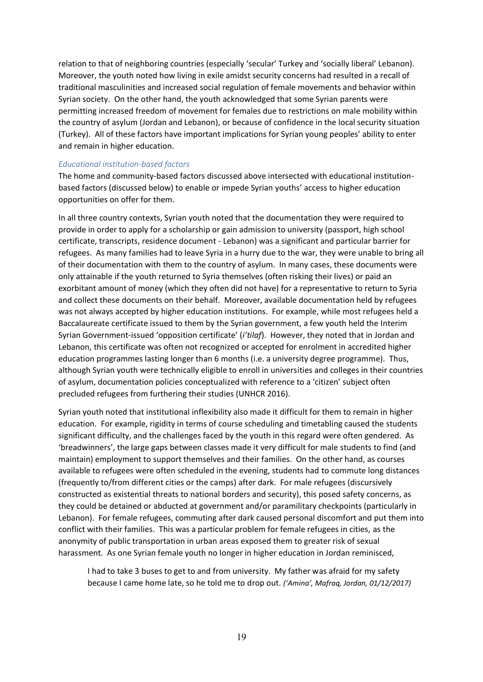relation to that of neighboring countries (especially 'secular' Turkey and 'socially liberal' Lebanon). Moreover, the youth noted how living in exile amidst security concerns had resulted in a recall of traditional masculinities and increased social regulation of female movements and behavior within Syrian society. On the other hand, the youth acknowledged that some Syrian parents were permitting increased freedom of movement for females due to restrictions on male mobility within the country of asylum (Jordan and Lebanon), or because of confidence in the local security situation (Turkey). All of these factors have important implications for Syrian young peoples' ability to enter and remain in higher education.

#### *Educational institution-based factors*

The home and community-based factors discussed above intersected with educational institutionbased factors (discussed below) to enable or impede Syrian youths' access to higher education opportunities on offer for them.

In all three country contexts, Syrian youth noted that the documentation they were required to provide in order to apply for a scholarship or gain admission to university (passport, high school certificate, transcripts, residence document - Lebanon) was a significant and particular barrier for refugees. As many families had to leave Syria in a hurry due to the war, they were unable to bring all of their documentation with them to the country of asylum. In many cases, these documents were only attainable if the youth returned to Syria themselves (often risking their lives) or paid an exorbitant amount of money (which they often did not have) for a representative to return to Syria and collect these documents on their behalf. Moreover, available documentation held by refugees was not always accepted by higher education institutions. For example, while most refugees held a Baccalaureate certificate issued to them by the Syrian government, a few youth held the Interim Syrian Government-issued 'opposition certificate' (*i'tilaf*). However, they noted that in Jordan and Lebanon, this certificate was often not recognized or accepted for enrolment in accredited higher education programmes lasting longer than 6 months (i.e. a university degree programme). Thus, although Syrian youth were technically eligible to enroll in universities and colleges in their countries of asylum, documentation policies conceptualized with reference to a 'citizen' subject often precluded refugees from furthering their studies (UNHCR 2016).

Syrian youth noted that institutional inflexibility also made it difficult for them to remain in higher education. For example, rigidity in terms of course scheduling and timetabling caused the students significant difficulty, and the challenges faced by the youth in this regard were often gendered. As 'breadwinners', the large gaps between classes made it very difficult for male students to find (and maintain) employment to support themselves and their families. On the other hand, as courses available to refugees were often scheduled in the evening, students had to commute long distances (frequently to/from different cities or the camps) after dark. For male refugees (discursively constructed as existential threats to national borders and security), this posed safety concerns, as they could be detained or abducted at government and/or paramilitary checkpoints (particularly in Lebanon). For female refugees, commuting after dark caused personal discomfort and put them into conflict with their families. This was a particular problem for female refugees in cities, as the anonymity of public transportation in urban areas exposed them to greater risk of sexual harassment. As one Syrian female youth no longer in higher education in Jordan reminisced,

I had to take 3 buses to get to and from university. My father was afraid for my safety because I came home late, so he told me to drop out. *('Amina', Mafraq, Jordan, 01/12/2017)*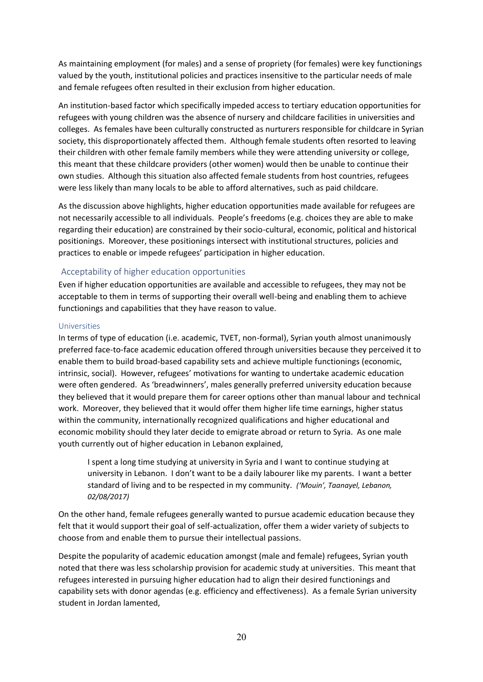As maintaining employment (for males) and a sense of propriety (for females) were key functionings valued by the youth, institutional policies and practices insensitive to the particular needs of male and female refugees often resulted in their exclusion from higher education.

An institution-based factor which specifically impeded access to tertiary education opportunities for refugees with young children was the absence of nursery and childcare facilities in universities and colleges. As females have been culturally constructed as nurturers responsible for childcare in Syrian society, this disproportionately affected them. Although female students often resorted to leaving their children with other female family members while they were attending university or college, this meant that these childcare providers (other women) would then be unable to continue their own studies. Although this situation also affected female students from host countries, refugees were less likely than many locals to be able to afford alternatives, such as paid childcare.

As the discussion above highlights, higher education opportunities made available for refugees are not necessarily accessible to all individuals. People's freedoms (e.g. choices they are able to make regarding their education) are constrained by their socio-cultural, economic, political and historical positionings. Moreover, these positionings intersect with institutional structures, policies and practices to enable or impede refugees' participation in higher education.

### Acceptability of higher education opportunities

Even if higher education opportunities are available and accessible to refugees, they may not be acceptable to them in terms of supporting their overall well-being and enabling them to achieve functionings and capabilities that they have reason to value.

#### Universities

In terms of type of education (i.e. academic, TVET, non-formal), Syrian youth almost unanimously preferred face-to-face academic education offered through universities because they perceived it to enable them to build broad-based capability sets and achieve multiple functionings (economic, intrinsic, social). However, refugees' motivations for wanting to undertake academic education were often gendered. As 'breadwinners', males generally preferred university education because they believed that it would prepare them for career options other than manual labour and technical work. Moreover, they believed that it would offer them higher life time earnings, higher status within the community, internationally recognized qualifications and higher educational and economic mobility should they later decide to emigrate abroad or return to Syria. As one male youth currently out of higher education in Lebanon explained,

I spent a long time studying at university in Syria and I want to continue studying at university in Lebanon. I don't want to be a daily labourer like my parents. I want a better standard of living and to be respected in my community. *('Mouin', Taanayel, Lebanon, 02/08/2017)*

On the other hand, female refugees generally wanted to pursue academic education because they felt that it would support their goal of self-actualization, offer them a wider variety of subjects to choose from and enable them to pursue their intellectual passions.

Despite the popularity of academic education amongst (male and female) refugees, Syrian youth noted that there was less scholarship provision for academic study at universities. This meant that refugees interested in pursuing higher education had to align their desired functionings and capability sets with donor agendas (e.g. efficiency and effectiveness). As a female Syrian university student in Jordan lamented,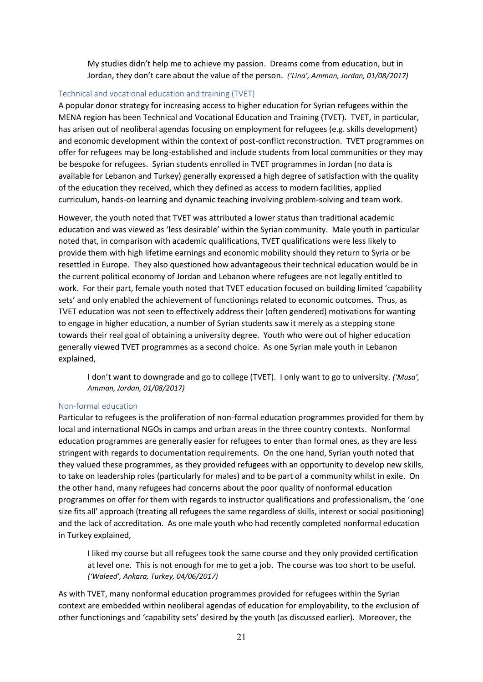My studies didn't help me to achieve my passion. Dreams come from education, but in Jordan, they don't care about the value of the person. *('Lina', Amman, Jordan, 01/08/2017)*

### Technical and vocational education and training (TVET)

A popular donor strategy for increasing access to higher education for Syrian refugees within the MENA region has been Technical and Vocational Education and Training (TVET). TVET, in particular, has arisen out of neoliberal agendas focusing on employment for refugees (e.g. skills development) and economic development within the context of post-conflict reconstruction. TVET programmes on offer for refugees may be long-established and include students from local communities or they may be bespoke for refugees. Syrian students enrolled in TVET programmes in Jordan (no data is available for Lebanon and Turkey) generally expressed a high degree of satisfaction with the quality of the education they received, which they defined as access to modern facilities, applied curriculum, hands-on learning and dynamic teaching involving problem-solving and team work.

However, the youth noted that TVET was attributed a lower status than traditional academic education and was viewed as 'less desirable' within the Syrian community. Male youth in particular noted that, in comparison with academic qualifications, TVET qualifications were less likely to provide them with high lifetime earnings and economic mobility should they return to Syria or be resettled in Europe. They also questioned how advantageous their technical education would be in the current political economy of Jordan and Lebanon where refugees are not legally entitled to work. For their part, female youth noted that TVET education focused on building limited 'capability sets' and only enabled the achievement of functionings related to economic outcomes. Thus, as TVET education was not seen to effectively address their (often gendered) motivations for wanting to engage in higher education, a number of Syrian students saw it merely as a stepping stone towards their real goal of obtaining a university degree. Youth who were out of higher education generally viewed TVET programmes as a second choice. As one Syrian male youth in Lebanon explained,

I don't want to downgrade and go to college (TVET). I only want to go to university. *('Musa', Amman, Jordan, 01/08/2017)*

#### Non-formal education

Particular to refugees is the proliferation of non-formal education programmes provided for them by local and international NGOs in camps and urban areas in the three country contexts. Nonformal education programmes are generally easier for refugees to enter than formal ones, as they are less stringent with regards to documentation requirements. On the one hand, Syrian youth noted that they valued these programmes, as they provided refugees with an opportunity to develop new skills, to take on leadership roles (particularly for males) and to be part of a community whilst in exile. On the other hand, many refugees had concerns about the poor quality of nonformal education programmes on offer for them with regards to instructor qualifications and professionalism, the 'one size fits all' approach (treating all refugees the same regardless of skills, interest or social positioning) and the lack of accreditation. As one male youth who had recently completed nonformal education in Turkey explained,

I liked my course but all refugees took the same course and they only provided certification at level one. This is not enough for me to get a job. The course was too short to be useful. *('Waleed', Ankara, Turkey, 04/06/2017)*

As with TVET, many nonformal education programmes provided for refugees within the Syrian context are embedded within neoliberal agendas of education for employability, to the exclusion of other functionings and 'capability sets' desired by the youth (as discussed earlier). Moreover, the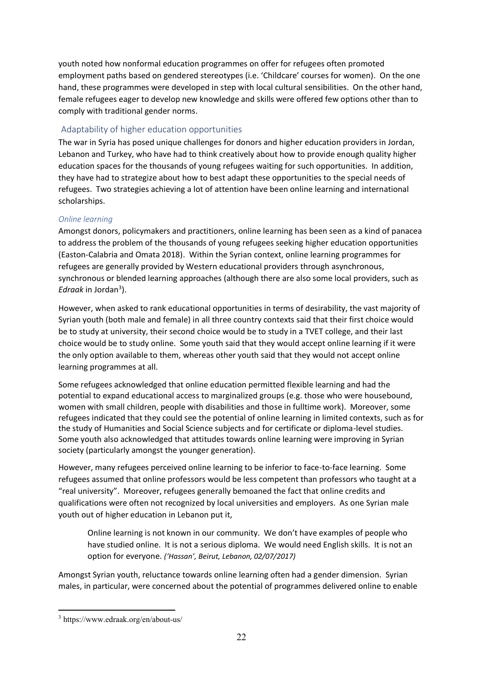youth noted how nonformal education programmes on offer for refugees often promoted employment paths based on gendered stereotypes (i.e. 'Childcare' courses for women). On the one hand, these programmes were developed in step with local cultural sensibilities. On the other hand, female refugees eager to develop new knowledge and skills were offered few options other than to comply with traditional gender norms.

# Adaptability of higher education opportunities

The war in Syria has posed unique challenges for donors and higher education providers in Jordan, Lebanon and Turkey, who have had to think creatively about how to provide enough quality higher education spaces for the thousands of young refugees waiting for such opportunities. In addition, they have had to strategize about how to best adapt these opportunities to the special needs of refugees. Two strategies achieving a lot of attention have been online learning and international scholarships.

### *Online learning*

Amongst donors, policymakers and practitioners, online learning has been seen as a kind of panacea to address the problem of the thousands of young refugees seeking higher education opportunities (Easton-Calabria and Omata 2018). Within the Syrian context, online learning programmes for refugees are generally provided by Western educational providers through asynchronous, synchronous or blended learning approaches (although there are also some local providers, such as *Edraak* in Jordan<sup>3</sup> ).

However, when asked to rank educational opportunities in terms of desirability, the vast majority of Syrian youth (both male and female) in all three country contexts said that their first choice would be to study at university, their second choice would be to study in a TVET college, and their last choice would be to study online. Some youth said that they would accept online learning if it were the only option available to them, whereas other youth said that they would not accept online learning programmes at all.

Some refugees acknowledged that online education permitted flexible learning and had the potential to expand educational access to marginalized groups (e.g. those who were housebound, women with small children, people with disabilities and those in fulltime work). Moreover, some refugees indicated that they could see the potential of online learning in limited contexts, such as for the study of Humanities and Social Science subjects and for certificate or diploma-level studies. Some youth also acknowledged that attitudes towards online learning were improving in Syrian society (particularly amongst the younger generation).

However, many refugees perceived online learning to be inferior to face-to-face learning. Some refugees assumed that online professors would be less competent than professors who taught at a "real university". Moreover, refugees generally bemoaned the fact that online credits and qualifications were often not recognized by local universities and employers. As one Syrian male youth out of higher education in Lebanon put it,

Online learning is not known in our community. We don't have examples of people who have studied online. It is not a serious diploma. We would need English skills. It is not an option for everyone. *('Hassan', Beirut, Lebanon, 02/07/2017)*

Amongst Syrian youth, reluctance towards online learning often had a gender dimension. Syrian males, in particular, were concerned about the potential of programmes delivered online to enable

<sup>3</sup> https://www.edraak.org/en/about-us/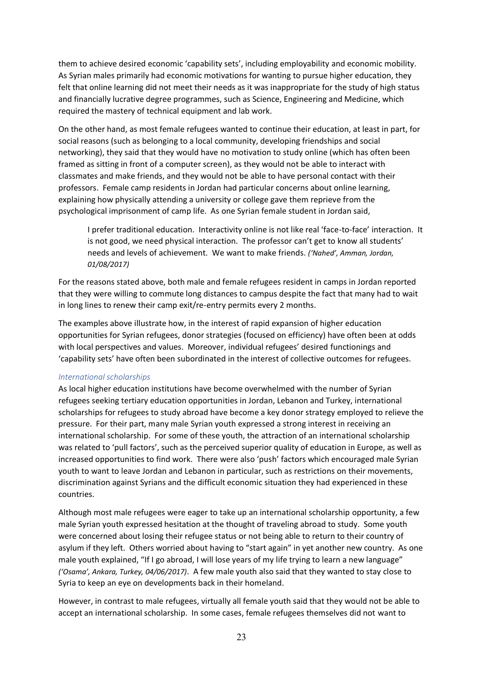them to achieve desired economic 'capability sets', including employability and economic mobility. As Syrian males primarily had economic motivations for wanting to pursue higher education, they felt that online learning did not meet their needs as it was inappropriate for the study of high status and financially lucrative degree programmes, such as Science, Engineering and Medicine, which required the mastery of technical equipment and lab work.

On the other hand, as most female refugees wanted to continue their education, at least in part, for social reasons (such as belonging to a local community, developing friendships and social networking), they said that they would have no motivation to study online (which has often been framed as sitting in front of a computer screen), as they would not be able to interact with classmates and make friends, and they would not be able to have personal contact with their professors. Female camp residents in Jordan had particular concerns about online learning, explaining how physically attending a university or college gave them reprieve from the psychological imprisonment of camp life. As one Syrian female student in Jordan said,

I prefer traditional education. Interactivity online is not like real 'face-to-face' interaction. It is not good, we need physical interaction. The professor can't get to know all students' needs and levels of achievement. We want to make friends. *('Nahed', Amman, Jordan, 01/08/2017)*

For the reasons stated above, both male and female refugees resident in camps in Jordan reported that they were willing to commute long distances to campus despite the fact that many had to wait in long lines to renew their camp exit/re-entry permits every 2 months.

The examples above illustrate how, in the interest of rapid expansion of higher education opportunities for Syrian refugees, donor strategies (focused on efficiency) have often been at odds with local perspectives and values. Moreover, individual refugees' desired functionings and 'capability sets' have often been subordinated in the interest of collective outcomes for refugees.

#### *International scholarships*

As local higher education institutions have become overwhelmed with the number of Syrian refugees seeking tertiary education opportunities in Jordan, Lebanon and Turkey, international scholarships for refugees to study abroad have become a key donor strategy employed to relieve the pressure. For their part, many male Syrian youth expressed a strong interest in receiving an international scholarship. For some of these youth, the attraction of an international scholarship was related to 'pull factors', such as the perceived superior quality of education in Europe, as well as increased opportunities to find work. There were also 'push' factors which encouraged male Syrian youth to want to leave Jordan and Lebanon in particular, such as restrictions on their movements, discrimination against Syrians and the difficult economic situation they had experienced in these countries.

Although most male refugees were eager to take up an international scholarship opportunity, a few male Syrian youth expressed hesitation at the thought of traveling abroad to study. Some youth were concerned about losing their refugee status or not being able to return to their country of asylum if they left. Others worried about having to "start again" in yet another new country. As one male youth explained, "If I go abroad, I will lose years of my life trying to learn a new language" *('Osama', Ankara, Turkey, 04/06/2017)*. A few male youth also said that they wanted to stay close to Syria to keep an eye on developments back in their homeland.

However, in contrast to male refugees, virtually all female youth said that they would not be able to accept an international scholarship. In some cases, female refugees themselves did not want to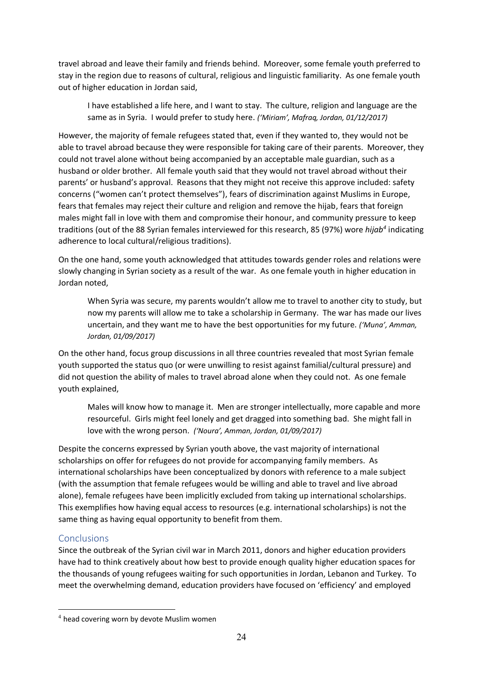travel abroad and leave their family and friends behind. Moreover, some female youth preferred to stay in the region due to reasons of cultural, religious and linguistic familiarity. As one female youth out of higher education in Jordan said,

I have established a life here, and I want to stay. The culture, religion and language are the same as in Syria. I would prefer to study here. *('Miriam', Mafraq, Jordan, 01/12/2017)*

However, the majority of female refugees stated that, even if they wanted to, they would not be able to travel abroad because they were responsible for taking care of their parents. Moreover, they could not travel alone without being accompanied by an acceptable male guardian, such as a husband or older brother. All female youth said that they would not travel abroad without their parents' or husband's approval. Reasons that they might not receive this approve included: safety concerns ("women can't protect themselves"), fears of discrimination against Muslims in Europe, fears that females may reject their culture and religion and remove the hijab, fears that foreign males might fall in love with them and compromise their honour, and community pressure to keep traditions (out of the 88 Syrian females interviewed for this research, 85 (97%) wore *hijab<sup>4</sup>* indicating adherence to local cultural/religious traditions).

On the one hand, some youth acknowledged that attitudes towards gender roles and relations were slowly changing in Syrian society as a result of the war. As one female youth in higher education in Jordan noted,

When Syria was secure, my parents wouldn't allow me to travel to another city to study, but now my parents will allow me to take a scholarship in Germany. The war has made our lives uncertain, and they want me to have the best opportunities for my future. *('Muna', Amman, Jordan, 01/09/2017)*

On the other hand, focus group discussions in all three countries revealed that most Syrian female youth supported the status quo (or were unwilling to resist against familial/cultural pressure) and did not question the ability of males to travel abroad alone when they could not. As one female youth explained,

Males will know how to manage it. Men are stronger intellectually, more capable and more resourceful. Girls might feel lonely and get dragged into something bad. She might fall in love with the wrong person. *('Noura', Amman, Jordan, 01/09/2017)*

Despite the concerns expressed by Syrian youth above, the vast majority of international scholarships on offer for refugees do not provide for accompanying family members. As international scholarships have been conceptualized by donors with reference to a male subject (with the assumption that female refugees would be willing and able to travel and live abroad alone), female refugees have been implicitly excluded from taking up international scholarships. This exemplifies how having equal access to resources (e.g. international scholarships) is not the same thing as having equal opportunity to benefit from them.

# **Conclusions**

Since the outbreak of the Syrian civil war in March 2011, donors and higher education providers have had to think creatively about how best to provide enough quality higher education spaces for the thousands of young refugees waiting for such opportunities in Jordan, Lebanon and Turkey. To meet the overwhelming demand, education providers have focused on 'efficiency' and employed

<sup>4</sup> head covering worn by devote Muslim women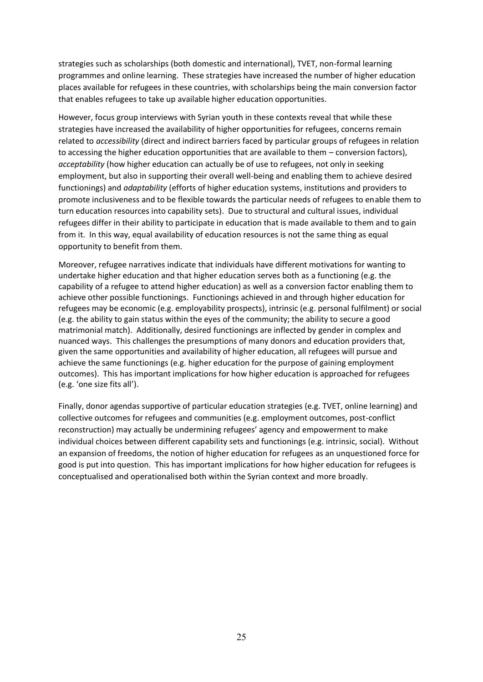strategies such as scholarships (both domestic and international), TVET, non-formal learning programmes and online learning. These strategies have increased the number of higher education places available for refugees in these countries, with scholarships being the main conversion factor that enables refugees to take up available higher education opportunities.

However, focus group interviews with Syrian youth in these contexts reveal that while these strategies have increased the availability of higher opportunities for refugees, concerns remain related to *accessibility* (direct and indirect barriers faced by particular groups of refugees in relation to accessing the higher education opportunities that are available to them – conversion factors), *acceptability* (how higher education can actually be of use to refugees, not only in seeking employment, but also in supporting their overall well-being and enabling them to achieve desired functionings) and *adaptability* (efforts of higher education systems, institutions and providers to promote inclusiveness and to be flexible towards the particular needs of refugees to enable them to turn education resources into capability sets). Due to structural and cultural issues, individual refugees differ in their ability to participate in education that is made available to them and to gain from it. In this way, equal availability of education resources is not the same thing as equal opportunity to benefit from them.

Moreover, refugee narratives indicate that individuals have different motivations for wanting to undertake higher education and that higher education serves both as a functioning (e.g. the capability of a refugee to attend higher education) as well as a conversion factor enabling them to achieve other possible functionings. Functionings achieved in and through higher education for refugees may be economic (e.g. employability prospects), intrinsic (e.g. personal fulfilment) or social (e.g. the ability to gain status within the eyes of the community; the ability to secure a good matrimonial match). Additionally, desired functionings are inflected by gender in complex and nuanced ways. This challenges the presumptions of many donors and education providers that, given the same opportunities and availability of higher education, all refugees will pursue and achieve the same functionings (e.g. higher education for the purpose of gaining employment outcomes). This has important implications for how higher education is approached for refugees (e.g. 'one size fits all').

Finally, donor agendas supportive of particular education strategies (e.g. TVET, online learning) and collective outcomes for refugees and communities (e.g. employment outcomes, post-conflict reconstruction) may actually be undermining refugees' agency and empowerment to make individual choices between different capability sets and functionings (e.g. intrinsic, social). Without an expansion of freedoms, the notion of higher education for refugees as an unquestioned force for good is put into question. This has important implications for how higher education for refugees is conceptualised and operationalised both within the Syrian context and more broadly.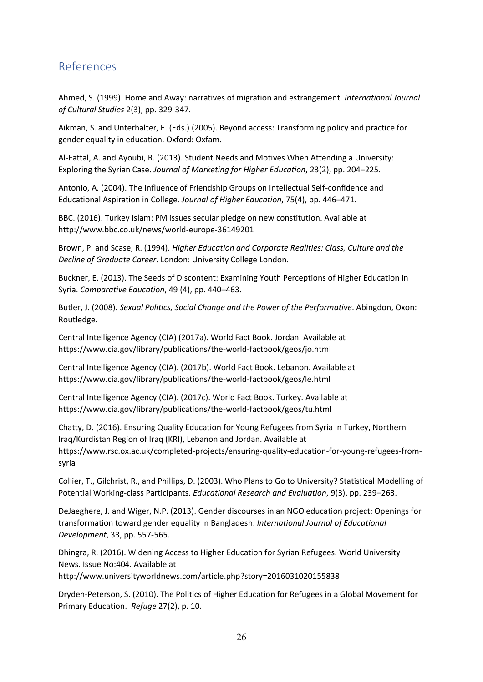# References

Ahmed, S. (1999). Home and Away: narratives of migration and estrangement. *International Journal of Cultural Studies* 2(3), pp. 329-347.

Aikman, S. and Unterhalter, E. (Eds.) (2005). Beyond access: Transforming policy and practice for gender equality in education. Oxford: Oxfam.

Al-Fattal, A. and Ayoubi, R. (2013). Student Needs and Motives When Attending a University: Exploring the Syrian Case. *Journal of Marketing for Higher Education*, 23(2), pp. 204–225.

Antonio, A. (2004). The Influence of Friendship Groups on Intellectual Self-confidence and Educational Aspiration in College. *Journal of Higher Education*, 75(4), pp. 446–471.

BBC. (2016). Turkey Islam: PM issues secular pledge on new constitution. Available at <http://www.bbc.co.uk/news/world-europe-36149201>

Brown, P. and Scase, R. (1994). *Higher Education and Corporate Realities: Class, Culture and the Decline of Graduate Career*. London: University College London.

Buckner, E. (2013). The Seeds of Discontent: Examining Youth Perceptions of Higher Education in Syria. *Comparative Education*, 49 (4), pp. 440–463.

Butler, J. (2008). *Sexual Politics, Social Change and the Power of the Performative*. Abingdon, Oxon: Routledge.

Central Intelligence Agency (CIA) (2017a). World Fact Book. Jordan. Available at <https://www.cia.gov/library/publications/the-world-factbook/geos/jo.html>

Central Intelligence Agency (CIA). (2017b). World Fact Book. Lebanon. Available at <https://www.cia.gov/library/publications/the-world-factbook/geos/le.html>

Central Intelligence Agency (CIA). (2017c). World Fact Book. Turkey. Available at <https://www.cia.gov/library/publications/the-world-factbook/geos/tu.html>

Chatty, D. (2016). Ensuring Quality Education for Young Refugees from Syria in Turkey, Northern Iraq/Kurdistan Region of Iraq (KRI), Lebanon and Jordan. Available at [https://www.rsc.ox.ac.uk/completed-projects/ensuring-quality-education-for-young-refugees-from](https://www.rsc.ox.ac.uk/completed-projects/ensuring-quality-education-for-young-refugees-from-syria)[syria](https://www.rsc.ox.ac.uk/completed-projects/ensuring-quality-education-for-young-refugees-from-syria)

Collier, T., Gilchrist, R., and Phillips, D. (2003). Who Plans to Go to University? Statistical Modelling of Potential Working-class Participants. *Educational Research and Evaluation*, 9(3), pp. 239–263.

DeJaeghere, J. and Wiger, N.P. (2013). Gender discourses in an NGO education project: Openings for transformation toward gender equality in Bangladesh. *International Journal of Educational Development*, 33, pp. 557-565.

Dhingra, R. (2016). Widening Access to Higher Education for Syrian Refugees. World University News. Issue No:404. Available at <http://www.universityworldnews.com/article.php?story=2016031020155838>

Dryden-Peterson, S. (2010). The Politics of Higher Education for Refugees in a Global Movement for Primary Education. *Refuge* 27(2), p. 10.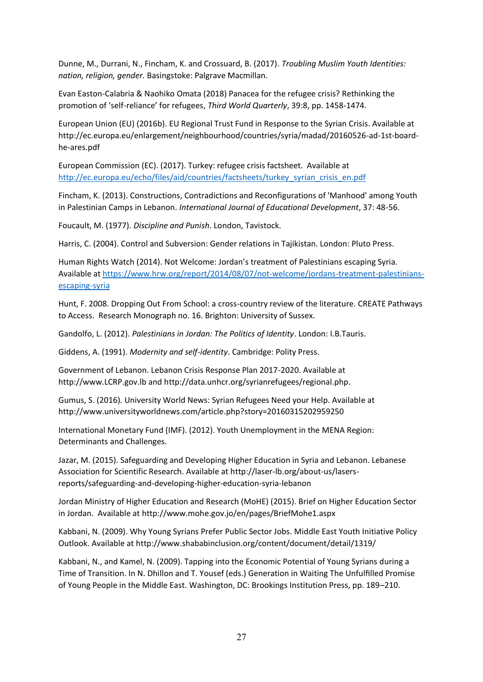Dunne, M., Durrani, N., Fincham, K. and Crossuard, B. (2017). *Troubling [Muslim Youth Identities:](http://sro.sussex.ac.uk/16399/)  [nation, religion, gender.](http://sro.sussex.ac.uk/16399/)* Basingstoke: Palgrave Macmillan.

Evan Easton-Calabria & Naohiko Omata (2018) Panacea for the refugee crisis? Rethinking the promotion of 'self-reliance' for refugees, *Third World Quarterly*, 39:8, pp. 1458-1474.

European Union (EU) (2016b). EU Regional Trust Fund in Response to the Syrian Crisis. Available at [http://ec.europa.eu/enlargement/neighbourhood/countries/syria/madad/20160526-ad-1st-board](http://ec.europa.eu/enlargement/neighbourhood/countries/syria/madad/20160526-ad-1st-board-he-ares.pdf)[he-ares.pdf](http://ec.europa.eu/enlargement/neighbourhood/countries/syria/madad/20160526-ad-1st-board-he-ares.pdf)

European Commission (EC). (2017). Turkey: refugee crisis factsheet. Available at [http://ec.europa.eu/echo/files/aid/countries/factsheets/turkey\\_syrian\\_crisis\\_en.pdf](http://ec.europa.eu/echo/files/aid/countries/factsheets/turkey_syrian_crisis_en.pdf)

Fincham, K. (2013). Constructions, Contradictions and Reconfigurations of 'Manhood' among Youth in Palestinian Camps in Lebanon. *International Journal of Educational Development*, 37: 48-56.

Foucault, M. (1977). *Discipline and Punish*. London, Tavistock.

Harris, C. (2004). Control and Subversion: Gender relations in Tajikistan. London: Pluto Press.

Human Rights Watch (2014). Not Welcome: Jordan's treatment of Palestinians escaping Syria. Available a[t https://www.hrw.org/report/2014/08/07/not-welcome/jordans-treatment-palestinians](https://www.hrw.org/report/2014/08/07/not-welcome/jordans-treatment-palestinians-escaping-syria)[escaping-syria](https://www.hrw.org/report/2014/08/07/not-welcome/jordans-treatment-palestinians-escaping-syria)

Hunt, F. 2008. Dropping Out From School: a cross-country review of the literature. CREATE Pathways to Access. Research Monograph no. 16. Brighton: University of Sussex.

Gandolfo, L. (2012). *Palestinians in Jordan: The Politics of Identity*. London: I.B.Tauris.

Giddens, A. (1991). *Modernity and self-identity*. Cambridge: Polity Press.

Government of Lebanon. Lebanon Crisis Response Plan 2017-2020. Available at [http://www.LCRP.gov.lb](http://www.lcrp.gov.lb/) and [http://data.unhcr.org/syrianrefugees/regional.php.](http://data.unhcr.org/syrianrefugees/regional.php)

Gumus, S. (2016). University World News: Syrian Refugees Need your Help. Available at <http://www.universityworldnews.com/article.php?story=20160315202959250>

International Monetary Fund (IMF). (2012). Youth Unemployment in the MENA Region: Determinants and Challenges.

Jazar, M. (2015). Safeguarding and Developing Higher Education in Syria and Lebanon. Lebanese Association for Scientific Research. Available at [http://laser-lb.org/about-us/lasers](http://laser-lb.org/about-us/lasers-reports/safeguarding-and-developing-higher-education-syria-lebanon)[reports/safeguarding-and-developing-higher-education-syria-lebanon](http://laser-lb.org/about-us/lasers-reports/safeguarding-and-developing-higher-education-syria-lebanon)

Jordan Ministry of Higher Education and Research (MoHE) (2015). Brief on Higher Education Sector in Jordan. Available at<http://www.mohe.gov.jo/en/pages/BriefMohe1.aspx>

Kabbani, N. (2009). Why Young Syrians Prefer Public Sector Jobs. Middle East Youth Initiative Policy Outlook. Available at<http://www.shababinclusion.org/content/document/detail/1319/>

Kabbani, N., and Kamel, N. (2009). Tapping into the Economic Potential of Young Syrians during a Time of Transition. In N. Dhillon and T. Yousef (eds.) Generation in Waiting The Unfulfilled Promise of Young People in the Middle East. Washington, DC: Brookings Institution Press, pp. 189–210.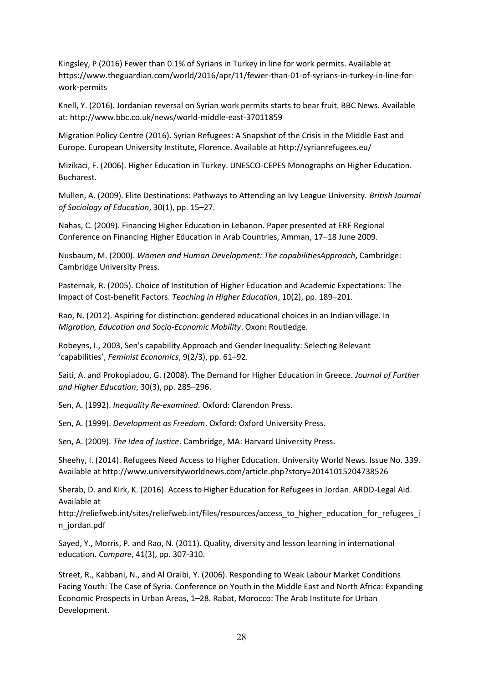Kingsley, P (2016) Fewer than 0.1% of Syrians in Turkey in line for work permits. Available at [https://www.theguardian.com/world/2016/apr/11/fewer-than-01-of-syrians-in-turkey-in-line-for](https://www.theguardian.com/world/2016/apr/11/fewer-than-01-of-syrians-in-turkey-in-line-for-work-permits)[work-permits](https://www.theguardian.com/world/2016/apr/11/fewer-than-01-of-syrians-in-turkey-in-line-for-work-permits)

Knell, Y. (2016). Jordanian reversal on Syrian work permits starts to bear fruit. BBC News. Available at:<http://www.bbc.co.uk/news/world-middle-east-37011859>

Migration Policy Centre (2016). Syrian Refugees: A Snapshot of the Crisis in the Middle East and Europe. European University Institute, Florence. Available at<http://syrianrefugees.eu/>

Mizikaci, F. (2006). Higher Education in Turkey. UNESCO-CEPES Monographs on Higher Education. Bucharest.

Mullen, A. (2009). Elite Destinations: Pathways to Attending an Ivy League University. *British Journal of Sociology of Education*, 30(1), pp. 15–27.

Nahas, C. (2009). Financing Higher Education in Lebanon. Paper presented at ERF Regional Conference on Financing Higher Education in Arab Countries, Amman, 17–18 June 2009.

Nusbaum, M. (2000). *Women and Human Development: The capabilitiesApproach*, Cambridge: Cambridge University Press.

Pasternak, R. (2005). Choice of Institution of Higher Education and Academic Expectations: The Impact of Cost-benefit Factors. *Teaching in Higher Education*, 10(2), pp. 189–201.

Rao, N. (2012). Aspiring for distinction: gendered educational choices in an Indian village. In *Migration, Education and Socio-Economic Mobility*. Oxon: Routledge.

Robeyns, I., 2003, Sen's capability Approach and Gender Inequality: Selecting Relevant 'capabilities', *Feminist Economics*, 9(2/3), pp. 61–92.

Saiti, A. and Prokopiadou, G. (2008). The Demand for Higher Education in Greece. *Journal of Further and Higher Education*, 30(3), pp. 285–296.

Sen, A. (1992). *Inequality Re-examined*. Oxford: Clarendon Press.

Sen, A. (1999). *Development as Freedom*. Oxford: Oxford University Press.

Sen, A. (2009). *The Idea of Justice*. Cambridge, MA: Harvard University Press.

Sheehy, I. (2014). Refugees Need Access to Higher Education. University World News. Issue No. 339. Available a[t http://www.universityworldnews.com/article.php?story=20141015204738526](http://www.universityworldnews.com/article.php?story=20141015204738526)

Sherab, D. and Kirk, K. (2016). Access to Higher Education for Refugees in Jordan. ARDD-Legal Aid. Available at

[http://reliefweb.int/sites/reliefweb.int/files/resources/access\\_to\\_higher\\_education\\_for\\_refugees\\_i](http://reliefweb.int/sites/reliefweb.int/files/resources/access_to_higher_education_for_refugees_in_jordan.pdf) [n\\_jordan.pdf](http://reliefweb.int/sites/reliefweb.int/files/resources/access_to_higher_education_for_refugees_in_jordan.pdf)

Sayed, Y., Morris, P. and Rao, N. (2011). Quality, diversity and lesson learning in international education. *Compare*, 41(3), pp. 307-310.

Street, R., Kabbani, N., and Al Oraibi, Y. (2006). Responding to Weak Labour Market Conditions Facing Youth: The Case of Syria. Conference on Youth in the Middle East and North Africa: Expanding Economic Prospects in Urban Areas, 1–28. Rabat, Morocco: The Arab Institute for Urban Development.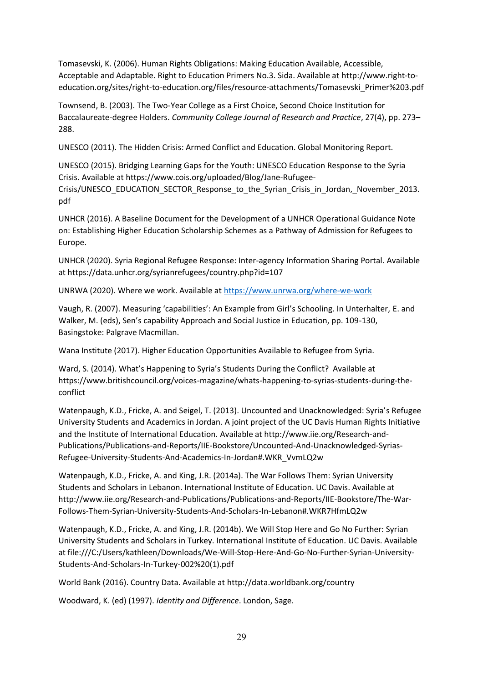Tomasevski, K. (2006). Human Rights Obligations: Making Education Available, Accessible, Acceptable and Adaptable. Right to Education Primers No.3. Sida. Available at [http://www.right-to](http://www.right-to-education.org/sites/right-to-education.org/files/resource-attachments/Tomasevski_Primer%203.pdf)[education.org/sites/right-to-education.org/files/resource-attachments/Tomasevski\\_Primer%203.pdf](http://www.right-to-education.org/sites/right-to-education.org/files/resource-attachments/Tomasevski_Primer%203.pdf)

Townsend, B. (2003). The Two-Year College as a First Choice, Second Choice Institution for Baccalaureate-degree Holders. *Community College Journal of Research and Practice*, 27(4), pp. 273– 288.

UNESCO (2011). The Hidden Crisis: Armed Conflict and Education. Global Monitoring Report.

UNESCO (2015). Bridging Learning Gaps for the Youth: UNESCO Education Response to the Syria Crisis. Available at [https://www.cois.org/uploaded/Blog/Jane-Rufugee-](https://www.cois.org/uploaded/Blog/Jane-Rufugee-Crisis/UNESCO_EDUCATION_SECTOR_Response_to_the_Syrian_Crisis_in_Jordan,_November_2013.pdf)[Crisis/UNESCO\\_EDUCATION\\_SECTOR\\_Response\\_to\\_the\\_Syrian\\_Crisis\\_in\\_Jordan,\\_November\\_2013.](https://www.cois.org/uploaded/Blog/Jane-Rufugee-Crisis/UNESCO_EDUCATION_SECTOR_Response_to_the_Syrian_Crisis_in_Jordan,_November_2013.pdf) [pdf](https://www.cois.org/uploaded/Blog/Jane-Rufugee-Crisis/UNESCO_EDUCATION_SECTOR_Response_to_the_Syrian_Crisis_in_Jordan,_November_2013.pdf)

UNHCR (2016). A Baseline Document for the Development of a UNHCR Operational Guidance Note on: Establishing Higher Education Scholarship Schemes as a Pathway of Admission for Refugees to Europe.

UNHCR (2020). Syria Regional Refugee Response: Inter-agency Information Sharing Portal. Available at<https://data.unhcr.org/syrianrefugees/country.php?id=107>

UNRWA (2020). Where we work. Available at<https://www.unrwa.org/where-we-work>

Vaugh, R. (2007). Measuring 'capabilities': An Example from Girl's Schooling. In Unterhalter, E. and Walker, M. (eds), Sen's capability Approach and Social Justice in Education, pp. 109-130, Basingstoke: Palgrave Macmillan.

Wana Institute (2017). Higher Education Opportunities Available to Refugee from Syria.

Ward, S. (2014). What's Happening to Syria's Students During the Conflict? Available at [https://www.britishcouncil.org/voices-magazine/whats-happening-to-syrias-students-during-the](https://www.britishcouncil.org/voices-magazine/whats-happening-to-syrias-students-during-the-conflict)[conflict](https://www.britishcouncil.org/voices-magazine/whats-happening-to-syrias-students-during-the-conflict)

Watenpaugh, K.D., Fricke, A. and Seigel, T. (2013). Uncounted and Unacknowledged: Syria's Refugee University Students and Academics in Jordan. A joint project of the UC Davis Human Rights Initiative and the Institute of International Education. Available a[t http://www.iie.org/Research-and-](http://www.iie.org/Research-and-Publications/Publications-and-Reports/IIE-Bookstore/Uncounted-And-Unacknowledged-Syrias-Refugee-University-Students-And-Academics-In-Jordan#.WKR_VvmLQ2w)[Publications/Publications-and-Reports/IIE-Bookstore/Uncounted-And-Unacknowledged-Syrias-](http://www.iie.org/Research-and-Publications/Publications-and-Reports/IIE-Bookstore/Uncounted-And-Unacknowledged-Syrias-Refugee-University-Students-And-Academics-In-Jordan#.WKR_VvmLQ2w)[Refugee-University-Students-And-Academics-In-Jordan#.WKR\\_VvmLQ2w](http://www.iie.org/Research-and-Publications/Publications-and-Reports/IIE-Bookstore/Uncounted-And-Unacknowledged-Syrias-Refugee-University-Students-And-Academics-In-Jordan#.WKR_VvmLQ2w)

Watenpaugh, K.D., Fricke, A. and King, J.R. (2014a). The War Follows Them: Syrian University Students and Scholars in Lebanon. International Institute of Education. UC Davis. Available at [http://www.iie.org/Research-and-Publications/Publications-and-Reports/IIE-Bookstore/The-War-](http://www.iie.org/Research-and-Publications/Publications-and-Reports/IIE-Bookstore/The-War-Follows-Them-Syrian-University-Students-And-Scholars-In-Lebanon#.WKR7HfmLQ2w)[Follows-Them-Syrian-University-Students-And-Scholars-In-Lebanon#.WKR7HfmLQ2w](http://www.iie.org/Research-and-Publications/Publications-and-Reports/IIE-Bookstore/The-War-Follows-Them-Syrian-University-Students-And-Scholars-In-Lebanon#.WKR7HfmLQ2w)

Watenpaugh, K.D., Fricke, A. and King, J.R. (2014b). We Will Stop Here and Go No Further: Syrian University Students and Scholars in Turkey. International Institute of Education. UC Davis. Available at [file:///C:/Users/kathleen/Downloads/We-Will-Stop-Here-And-Go-No-Further-Syrian-University-](file:///C:/Users/kathleen/Downloads/We-Will-Stop-Here-And-Go-No-Further-Syrian-University-Students-And-Scholars-In-Turkey-002%20(1).pdf)[Students-And-Scholars-In-Turkey-002%20\(1\).pdf](file:///C:/Users/kathleen/Downloads/We-Will-Stop-Here-And-Go-No-Further-Syrian-University-Students-And-Scholars-In-Turkey-002%20(1).pdf)

World Bank (2016). Country Data. Available at<http://data.worldbank.org/country>

Woodward, K. (ed) (1997). *Identity and Difference*. London, Sage.